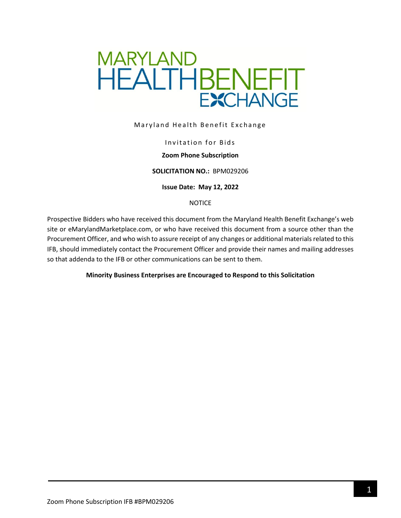

Maryland Health Benefit Exchange

### Invitation for Bids

#### **Zoom Phone Subscription**

#### **SOLICITATION NO.:** BPM029206

**Issue Date: May 12, 2022**

#### NOTICE

Prospective Bidders who have received this document from the Maryland Health Benefit Exchange's web site or eMarylandMarketplace.com, or who have received this document from a source other than the Procurement Officer, and who wish to assure receipt of any changes or additional materials related to this IFB, should immediately contact the Procurement Officer and provide their names and mailing addresses so that addenda to the IFB or other communications can be sent to them.

### **Minority Business Enterprises are Encouraged to Respond to this Solicitation**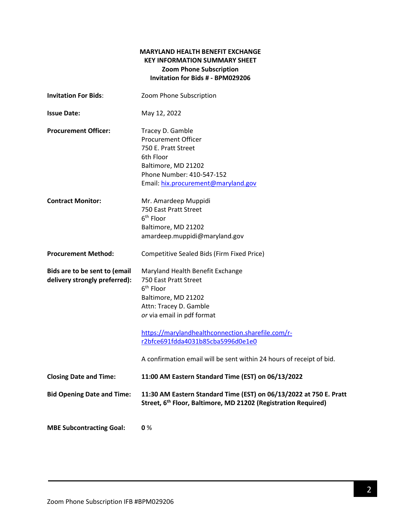# **MARYLAND HEALTH BENEFIT EXCHANGE KEY INFORMATION SUMMARY SHEET Zoom Phone Subscription Invitation for Bids # - BPM029206**

| <b>Invitation For Bids:</b>                                    | Zoom Phone Subscription                                                                                                                                                                                                                                                                                                             |  |  |
|----------------------------------------------------------------|-------------------------------------------------------------------------------------------------------------------------------------------------------------------------------------------------------------------------------------------------------------------------------------------------------------------------------------|--|--|
| <b>Issue Date:</b>                                             | May 12, 2022                                                                                                                                                                                                                                                                                                                        |  |  |
| <b>Procurement Officer:</b>                                    | Tracey D. Gamble<br><b>Procurement Officer</b><br>750 E. Pratt Street<br>6th Floor<br>Baltimore, MD 21202<br>Phone Number: 410-547-152<br>Email: hix.procurement@maryland.gov                                                                                                                                                       |  |  |
| <b>Contract Monitor:</b>                                       | Mr. Amardeep Muppidi<br>750 East Pratt Street<br>6 <sup>th</sup> Floor<br>Baltimore, MD 21202<br>amardeep.muppidi@maryland.gov                                                                                                                                                                                                      |  |  |
| <b>Procurement Method:</b>                                     | Competitive Sealed Bids (Firm Fixed Price)                                                                                                                                                                                                                                                                                          |  |  |
| Bids are to be sent to (email<br>delivery strongly preferred): | Maryland Health Benefit Exchange<br>750 East Pratt Street<br>6 <sup>th</sup> Floor<br>Baltimore, MD 21202<br>Attn: Tracey D. Gamble<br>or via email in pdf format<br>https://marylandhealthconnection.sharefile.com/r-<br>r2bfce691fdda4031b85cba5996d0e1e0<br>A confirmation email will be sent within 24 hours of receipt of bid. |  |  |
| <b>Closing Date and Time:</b>                                  | 11:00 AM Eastern Standard Time (EST) on 06/13/2022                                                                                                                                                                                                                                                                                  |  |  |
| <b>Bid Opening Date and Time:</b>                              | 11:30 AM Eastern Standard Time (EST) on 06/13/2022 at 750 E. Pratt<br>Street, 6 <sup>th</sup> Floor, Baltimore, MD 21202 (Registration Required)                                                                                                                                                                                    |  |  |
| <b>MBE Subcontracting Goal:</b>                                | 0%                                                                                                                                                                                                                                                                                                                                  |  |  |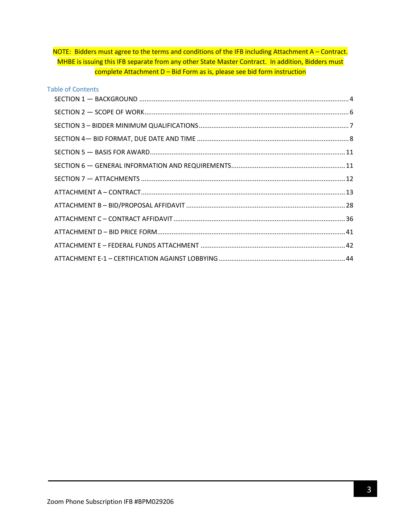NOTE: Bidders must agree to the terms and conditions of the IFB including Attachment A – Contract. MHBE is issuing this IFB separate from any other State Master Contract. In addition, Bidders must complete Attachment D – Bid Form as is, please see bid form instruction

#### Table of Contents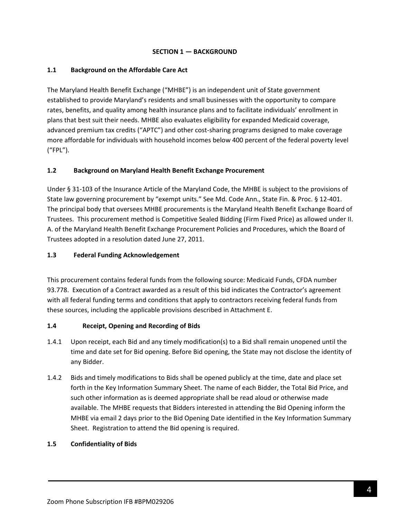## **SECTION 1 — BACKGROUND**

# <span id="page-3-0"></span>**1.1 Background on the Affordable Care Act**

The Maryland Health Benefit Exchange ("MHBE") is an independent unit of State government established to provide Maryland's residents and small businesses with the opportunity to compare rates, benefits, and quality among health insurance plans and to facilitate individuals' enrollment in plans that best suit their needs. MHBE also evaluates eligibility for expanded Medicaid coverage, advanced premium tax credits ("APTC") and other cost-sharing programs designed to make coverage more affordable for individuals with household incomes below 400 percent of the federal poverty level ("FPL").

# **1.2 Background on Maryland Health Benefit Exchange Procurement**

Under § 31-103 of the Insurance Article of the Maryland Code, the MHBE is subject to the provisions of State law governing procurement by "exempt units." See Md. Code Ann., State Fin. & Proc. § 12-401. The principal body that oversees MHBE procurements is the Maryland Health Benefit Exchange Board of Trustees. This procurement method is Competitive Sealed Bidding (Firm Fixed Price) as allowed under II. A. of the Maryland Health Benefit Exchange Procurement Policies and Procedures, which the Board of Trustees adopted in a resolution dated June 27, 2011.

### **1.3 Federal Funding Acknowledgement**

This procurement contains federal funds from the following source: Medicaid Funds, CFDA number 93.778. Execution of a Contract awarded as a result of this bid indicates the Contractor's agreement with all federal funding terms and conditions that apply to contractors receiving federal funds from these sources, including the applicable provisions described in Attachment E.

### **1.4 Receipt, Opening and Recording of Bids**

- 1.4.1 Upon receipt, each Bid and any timely modification(s) to a Bid shall remain unopened until the time and date set for Bid opening. Before Bid opening, the State may not disclose the identity of any Bidder.
- 1.4.2 Bids and timely modifications to Bids shall be opened publicly at the time, date and place set forth in the Key Information Summary Sheet. The name of each Bidder, the Total Bid Price, and such other information as is deemed appropriate shall be read aloud or otherwise made available. The MHBE requests that Bidders interested in attending the Bid Opening inform the MHBE via email 2 days prior to the Bid Opening Date identified in the Key Information Summary Sheet. Registration to attend the Bid opening is required.

### **1.5 Confidentiality of Bids**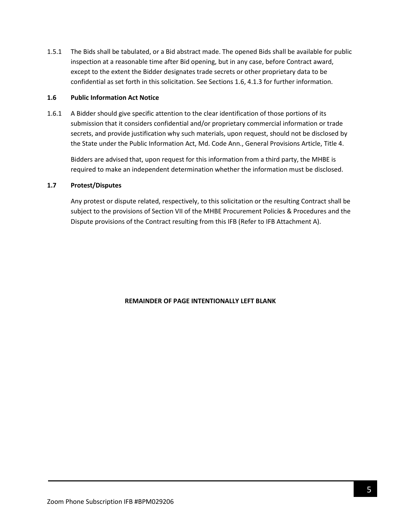1.5.1 The Bids shall be tabulated, or a Bid abstract made. The opened Bids shall be available for public inspection at a reasonable time after Bid opening, but in any case, before Contract award, except to the extent the Bidder designates trade secrets or other proprietary data to be confidential as set forth in this solicitation. See Sections 1.6, 4.1.3 for further information.

#### **1.6 Public Information Act Notice**

1.6.1 A Bidder should give specific attention to the clear identification of those portions of its submission that it considers confidential and/or proprietary commercial information or trade secrets, and provide justification why such materials, upon request, should not be disclosed by the State under the Public Information Act, Md. Code Ann., General Provisions Article, Title 4.

Bidders are advised that, upon request for this information from a third party, the MHBE is required to make an independent determination whether the information must be disclosed.

### **1.7 Protest/Disputes**

Any protest or dispute related, respectively, to this solicitation or the resulting Contract shall be subject to the provisions of Section VII of the MHBE Procurement Policies & Procedures and the Dispute provisions of the Contract resulting from this IFB (Refer to IFB Attachment A).

### **REMAINDER OF PAGE INTENTIONALLY LEFT BLANK**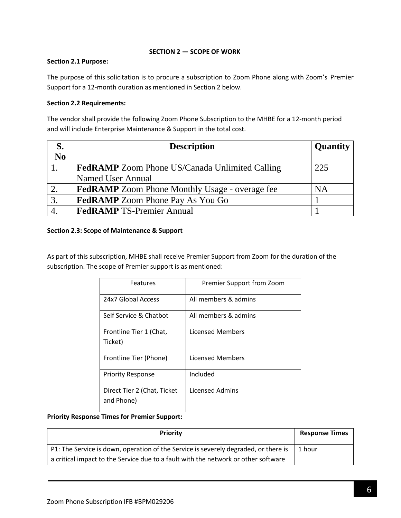### **SECTION 2 — SCOPE OF WORK**

# <span id="page-5-0"></span>**Section 2.1 Purpose:**

The purpose of this solicitation is to procure a subscription to Zoom Phone along with Zoom's Premier Support for a 12-month duration as mentioned in Section 2 below.

# **Section 2.2 Requirements:**

The vendor shall provide the following Zoom Phone Subscription to the MHBE for a 12-month period and will include Enterprise Maintenance & Support in the total cost.

|                        | <b>Description</b>                                    | Quantity  |
|------------------------|-------------------------------------------------------|-----------|
| $\overline{\text{No}}$ |                                                       |           |
|                        | <b>FedRAMP</b> Zoom Phone US/Canada Unlimited Calling | 225       |
|                        | Named User Annual                                     |           |
|                        | <b>FedRAMP</b> Zoom Phone Monthly Usage - overage fee | <b>NA</b> |
| 3.                     | FedRAMP Zoom Phone Pay As You Go                      |           |
|                        | <b>FedRAMP</b> TS-Premier Annual                      |           |

## **Section 2.3: Scope of Maintenance & Support**

As part of this subscription, MHBE shall receive Premier Support from Zoom for the duration of the subscription. The scope of Premier support is as mentioned:

| Features                                  | Premier Support from Zoom |
|-------------------------------------------|---------------------------|
| 24x7 Global Access                        | All members & admins      |
| Self Service & Chatbot                    | All members & admins      |
| Frontline Tier 1 (Chat,<br>Ticket)        | Licensed Members          |
| Frontline Tier (Phone)                    | Licensed Members          |
| <b>Priority Response</b>                  | Included                  |
| Direct Tier 2 (Chat, Ticket<br>and Phone) | Licensed Admins           |

### **Priority Response Times for Premier Support:**

| <b>Priority</b>                                                                     | <b>Response Times</b> |
|-------------------------------------------------------------------------------------|-----------------------|
| P1: The Service is down, operation of the Service is severely degraded, or there is | 1 hour                |
| a critical impact to the Service due to a fault with the network or other software  |                       |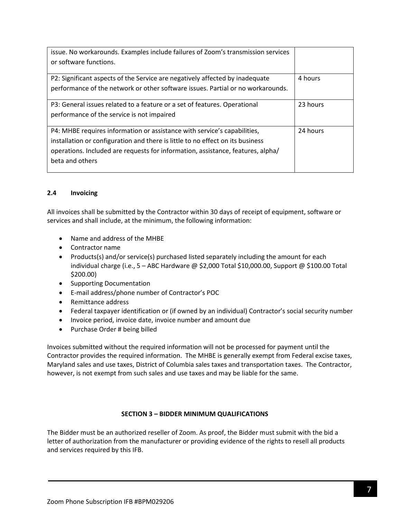| issue. No workarounds. Examples include failures of Zoom's transmission services |          |
|----------------------------------------------------------------------------------|----------|
| or software functions.                                                           |          |
|                                                                                  |          |
| P2: Significant aspects of the Service are negatively affected by inadequate     | 4 hours  |
| performance of the network or other software issues. Partial or no workarounds.  |          |
| P3: General issues related to a feature or a set of features. Operational        | 23 hours |
| performance of the service is not impaired                                       |          |
|                                                                                  |          |
| P4: MHBE requires information or assistance with service's capabilities,         | 24 hours |
| installation or configuration and there is little to no effect on its business   |          |
| operations. Included are requests for information, assistance, features, alpha/  |          |
| beta and others                                                                  |          |
|                                                                                  |          |

# **2.4 Invoicing**

All invoices shall be submitted by the Contractor within 30 days of receipt of equipment, software or services and shall include, at the minimum, the following information:

- Name and address of the MHBE
- Contractor name
- Products(s) and/or service(s) purchased listed separately including the amount for each individual charge (i.e., 5 – ABC Hardware @ \$2,000 Total \$10,000.00, Support @ \$100.00 Total \$200.00)
- Supporting Documentation
- E-mail address/phone number of Contractor's POC
- Remittance address
- Federal taxpayer identification or (if owned by an individual) Contractor's social security number
- Invoice period, invoice date, invoice number and amount due
- Purchase Order # being billed

Invoices submitted without the required information will not be processed for payment until the Contractor provides the required information. The MHBE is generally exempt from Federal excise taxes, Maryland sales and use taxes, District of Columbia sales taxes and transportation taxes. The Contractor, however, is not exempt from such sales and use taxes and may be liable for the same.

### **SECTION 3 – BIDDER MINIMUM QUALIFICATIONS**

<span id="page-6-0"></span>The Bidder must be an authorized reseller of Zoom. As proof, the Bidder must submit with the bid a letter of authorization from the manufacturer or providing evidence of the rights to resell all products and services required by this IFB.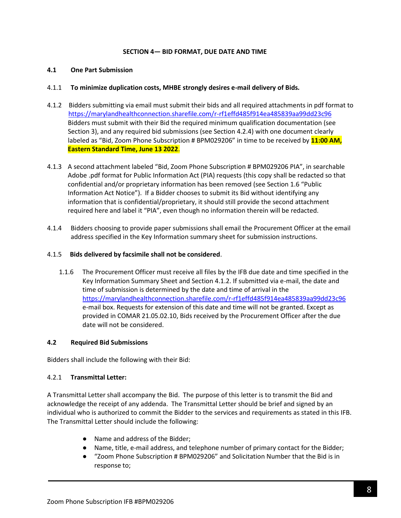### **SECTION 4— BID FORMAT, DUE DATE AND TIME**

### <span id="page-7-0"></span>**4.1 One Part Submission**

### 4.1.1 **To minimize duplication costs, MHBE strongly desires e-mail delivery of Bids***.*

- 4.1.2 Bidders submitting via email must submit their bids and all required attachments in pdf format to <https://marylandhealthconnection.sharefile.com/r-rf1effd485f914ea485839aa99dd23c96> Bidders must submit with their Bid the required minimum qualification documentation (see Section 3), and any required bid submissions (see Section 4.2.4) with one document clearly labeled as "Bid, Zoom Phone Subscription # BPM029206" in time to be received by **11:00 AM, Eastern Standard Time, June 13 2022**.
- 4.1.3 A second attachment labeled "Bid, Zoom Phone Subscription # BPM029206 PIA", in searchable Adobe .pdf format for Public Information Act (PIA) requests (this copy shall be redacted so that confidential and/or proprietary information has been removed (see Section 1.6 "Public Information Act Notice"). If a Bidder chooses to submit its Bid without identifying any information that is confidential/proprietary, it should still provide the second attachment required here and label it "PIA", even though no information therein will be redacted.
- 4.1.4 Bidders choosing to provide paper submissions shall email the Procurement Officer at the email address specified in the Key Information summary sheet for submission instructions.

### 4.1.5 **Bids delivered by facsimile shall not be considered**.

1.1.6 The Procurement Officer must receive all files by the IFB due date and time specified in the Key Information Summary Sheet and Section 4.1.2. If submitted via e-mail, the date and time of submission is determined by the date and time of arrival in the <https://marylandhealthconnection.sharefile.com/r-rf1effd485f914ea485839aa99dd23c96> e-mail box. Requests for extension of this date and time will not be granted. Except as provided in COMAR 21.05.02.10, Bids received by the Procurement Officer after the due date will not be considered.

### **4.2 Required Bid Submissions**

Bidders shall include the following with their Bid:

# 4.2.1 **Transmittal Letter:**

A Transmittal Letter shall accompany the Bid. The purpose of this letter is to transmit the Bid and acknowledge the receipt of any addenda. The Transmittal Letter should be brief and signed by an individual who is authorized to commit the Bidder to the services and requirements as stated in this IFB. The Transmittal Letter should include the following:

- Name and address of the Bidder;
- Name, title, e-mail address, and telephone number of primary contact for the Bidder;
- "Zoom Phone Subscription # BPM029206" and Solicitation Number that the Bid is in response to;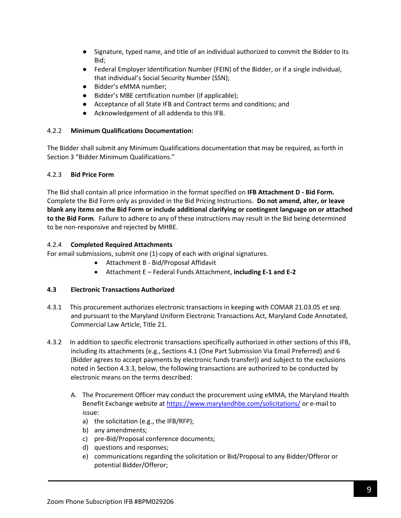- Signature, typed name, and title of an individual authorized to commit the Bidder to its Bid;
- Federal Employer Identification Number (FEIN) of the Bidder, or if a single individual, that individual's Social Security Number (SSN);
- Bidder's eMMA number;
- Bidder's MBE certification number (if applicable);
- Acceptance of all State IFB and Contract terms and conditions; and
- Acknowledgement of all addenda to this IFB.

# 4.2.2 **Minimum Qualifications Documentation:**

The Bidder shall submit any Minimum Qualifications documentation that may be required, as forth in Section 3 "Bidder Minimum Qualifications."

## 4.2.3 **Bid Price Form**

The Bid shall contain all price information in the format specified on **IFB Attachment D - Bid Form.** Complete the Bid Form only as provided in the Bid Pricing Instructions. **Do not amend, alter, or leave blank any items on the Bid Form or include additional clarifying or contingent language on or attached to the Bid Form**. Failure to adhere to any of these instructions may result in the Bid being determined to be non-responsive and rejected by MHBE.

## 4.2.4 **Completed Required Attachments**

For email submissions, submit one (1) copy of each with original signatures.

- Attachment B Bid/Proposal Affidavit
- Attachment E Federal Funds Attachment, **including E-1 and E-2**

# **4.3 Electronic Transactions Authorized**

- 4.3.1 This procurement authorizes electronic transactions in keeping with COMAR 21.03.05 *et seq*. and pursuant to the Maryland Uniform Electronic Transactions Act, Maryland Code Annotated, Commercial Law Article, Title 21.
- 4.3.2 In addition to specific electronic transactions specifically authorized in other sections of this IFB, including its attachments (e.g., Sections 4.1 (One Part Submission Via Email Preferred) and 6 (Bidder agrees to accept payments by electronic funds transfer)) and subject to the exclusions noted in Section 4.3.3, below, the following transactions are authorized to be conducted by electronic means on the terms described:
	- A. The Procurement Officer may conduct the procurement using eMMA, the Maryland Health Benefit Exchange website a[t https://www.marylandhbe.com/solicitations/](https://www.marylandhbe.com/solicitations/) or e-mail to issue:
		- a) the solicitation (e.g., the IFB/RFP);
		- b) any amendments;
		- c) pre-Bid/Proposal conference documents;
		- d) questions and responses;
		- e) communications regarding the solicitation or Bid/Proposal to any Bidder/Offeror or potential Bidder/Offeror;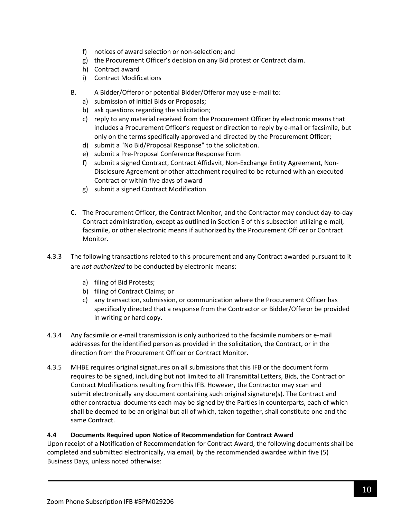- f) notices of award selection or non-selection; and
- g) the Procurement Officer's decision on any Bid protest or Contract claim.
- h) Contract award
- i) Contract Modifications
- B. A Bidder/Offeror or potential Bidder/Offeror may use e-mail to:
	- a) submission of initial Bids or Proposals;
	- b) ask questions regarding the solicitation;
	- c) reply to any material received from the Procurement Officer by electronic means that includes a Procurement Officer's request or direction to reply by e-mail or facsimile, but only on the terms specifically approved and directed by the Procurement Officer;
	- d) submit a "No Bid/Proposal Response" to the solicitation.
	- e) submit a Pre-Proposal Conference Response Form
	- f) submit a signed Contract, Contract Affidavit, Non-Exchange Entity Agreement, Non-Disclosure Agreement or other attachment required to be returned with an executed Contract or within five days of award
	- g) submit a signed Contract Modification
- C. The Procurement Officer, the Contract Monitor, and the Contractor may conduct day-to-day Contract administration, except as outlined in Section E of this subsection utilizing e-mail, facsimile, or other electronic means if authorized by the Procurement Officer or Contract Monitor.
- 4.3.3 The following transactions related to this procurement and any Contract awarded pursuant to it are *not authorized* to be conducted by electronic means:
	- a) filing of Bid Protests;
	- b) filing of Contract Claims; or
	- c) any transaction, submission, or communication where the Procurement Officer has specifically directed that a response from the Contractor or Bidder/Offeror be provided in writing or hard copy.
- 4.3.4 Any facsimile or e-mail transmission is only authorized to the facsimile numbers or e-mail addresses for the identified person as provided in the solicitation, the Contract, or in the direction from the Procurement Officer or Contract Monitor.
- 4.3.5 MHBE requires original signatures on all submissions that this IFB or the document form requires to be signed, including but not limited to all Transmittal Letters, Bids, the Contract or Contract Modifications resulting from this IFB. However, the Contractor may scan and submit electronically any document containing such original signature(s). The Contract and other contractual documents each may be signed by the Parties in counterparts, each of which shall be deemed to be an original but all of which, taken together, shall constitute one and the same Contract.

### **4.4 Documents Required upon Notice of Recommendation for Contract Award**

Upon receipt of a Notification of Recommendation for Contract Award, the following documents shall be completed and submitted electronically, via email, by the recommended awardee within five (5) Business Days, unless noted otherwise: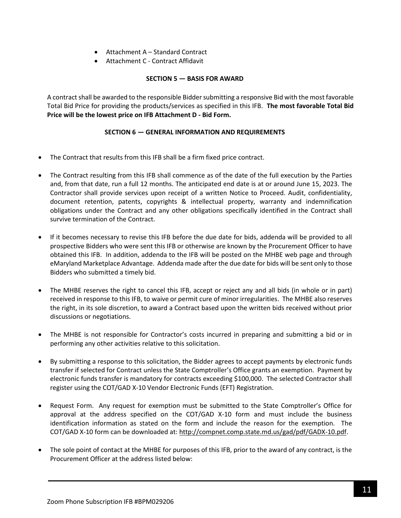- Attachment A Standard Contract
- Attachment C Contract Affidavit

### **SECTION 5 — BASIS FOR AWARD**

<span id="page-10-0"></span>A contract shall be awarded to the responsible Bidder submitting a responsive Bid with the most favorable Total Bid Price for providing the products/services as specified in this IFB. **The most favorable Total Bid Price will be the lowest price on IFB Attachment D - Bid Form.**

### **SECTION 6 — GENERAL INFORMATION AND REQUIREMENTS**

- <span id="page-10-1"></span>• The Contract that results from this IFB shall be a firm fixed price contract.
- The Contract resulting from this IFB shall commence as of the date of the full execution by the Parties and, from that date, run a full 12 months. The anticipated end date is at or around June 15, 2023. The Contractor shall provide services upon receipt of a written Notice to Proceed. Audit, confidentiality, document retention, patents, copyrights & intellectual property, warranty and indemnification obligations under the Contract and any other obligations specifically identified in the Contract shall survive termination of the Contract.
- If it becomes necessary to revise this IFB before the due date for bids, addenda will be provided to all prospective Bidders who were sent this IFB or otherwise are known by the Procurement Officer to have obtained this IFB. In addition, addenda to the IFB will be posted on the MHBE web page and through eMaryland Marketplace Advantage. Addenda made after the due date for bids will be sent only to those Bidders who submitted a timely bid.
- The MHBE reserves the right to cancel this IFB, accept or reject any and all bids (in whole or in part) received in response to this IFB, to waive or permit cure of minor irregularities. The MHBE also reserves the right, in its sole discretion, to award a Contract based upon the written bids received without prior discussions or negotiations.
- The MHBE is not responsible for Contractor's costs incurred in preparing and submitting a bid or in performing any other activities relative to this solicitation.
- By submitting a response to this solicitation, the Bidder agrees to accept payments by electronic funds transfer if selected for Contract unless the State Comptroller's Office grants an exemption. Payment by electronic funds transfer is mandatory for contracts exceeding \$100,000. The selected Contractor shall register using the COT/GAD X-10 Vendor Electronic Funds (EFT) Registration.
- Request Form. Any request for exemption must be submitted to the State Comptroller's Office for approval at the address specified on the COT/GAD X-10 form and must include the business identification information as stated on the form and include the reason for the exemption. The COT/GAD X-10 form can be downloaded at[: http://compnet.comp.state.md.us/gad/pdf/GADX-10.pdf.](http://compnet.comp.state.md.us/gad/pdf/GADX-10.pdf)
- The sole point of contact at the MHBE for purposes of this IFB, prior to the award of any contract, is the Procurement Officer at the address listed below: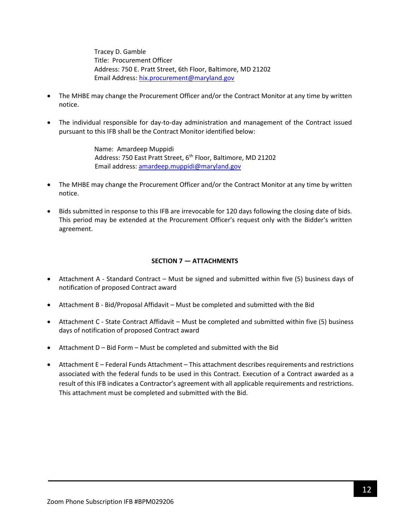Tracey D. Gamble Title: Procurement Officer Address: 750 E. Pratt Street, 6th Floor, Baltimore, MD 21202 Email Address: [hix.procurement@maryland.gov](mailto:hix.procurement@maryland.gov)

- The MHBE may change the Procurement Officer and/or the Contract Monitor at any time by written notice.
- The individual responsible for day-to-day administration and management of the Contract issued pursuant to this IFB shall be the Contract Monitor identified below:

Name: Amardeep Muppidi Address: 750 East Pratt Street, 6<sup>th</sup> Floor, Baltimore, MD 21202 Email address: [amardeep.muppidi@maryland.gov](mailto:amardeep.muppidi@maryland.gov) 

- The MHBE may change the Procurement Officer and/or the Contract Monitor at any time by written notice.
- Bids submitted in response to this IFB are irrevocable for 120 days following the closing date of bids. This period may be extended at the Procurement Officer's request only with the Bidder's written agreement.

# **SECTION 7 — ATTACHMENTS**

- <span id="page-11-0"></span>• Attachment A - Standard Contract – Must be signed and submitted within five (5) business days of notification of proposed Contract award
- Attachment B Bid/Proposal Affidavit Must be completed and submitted with the Bid
- Attachment C State Contract Affidavit Must be completed and submitted within five (5) business days of notification of proposed Contract award
- Attachment D Bid Form Must be completed and submitted with the Bid
- Attachment E Federal Funds Attachment This attachment describes requirements and restrictions associated with the federal funds to be used in this Contract. Execution of a Contract awarded as a result of this IFB indicates a Contractor's agreement with all applicable requirements and restrictions. This attachment must be completed and submitted with the Bid.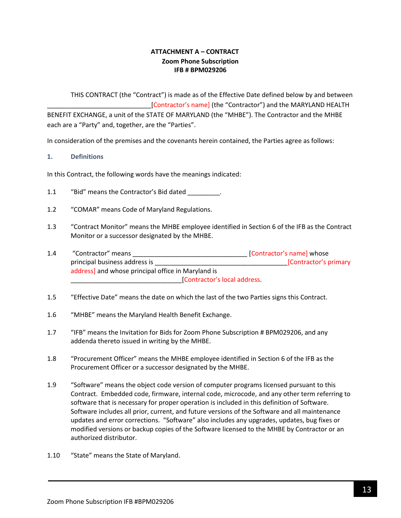# **ATTACHMENT A – CONTRACT Zoom Phone Subscription IFB # BPM029206**

<span id="page-12-0"></span>THIS CONTRACT (the "Contract") is made as of the Effective Date defined below by and between [Contractor's name] (the "Contractor") and the MARYLAND HEALTH BENEFIT EXCHANGE, a unit of the STATE OF MARYLAND (the "MHBE"). The Contractor and the MHBE each are a "Party" and, together, are the "Parties".

In consideration of the premises and the covenants herein contained, the Parties agree as follows:

### **1. Definitions**

In this Contract, the following words have the meanings indicated:

- 1.1 "Bid" means the Contractor's Bid dated .
- 1.2 "COMAR" means Code of Maryland Regulations.
- 1.3 "Contract Monitor" means the MHBE employee identified in Section 6 of the IFB as the Contract Monitor or a successor designated by the MHBE.
- 1.4 "Contractor" means \_\_\_\_\_\_\_\_\_\_\_\_\_\_\_\_\_\_\_\_\_\_\_\_\_\_\_\_\_\_\_\_ [Contractor's name] whose principal business address is \_\_\_\_\_\_\_\_\_\_\_\_\_\_\_\_\_\_\_\_\_\_\_\_\_\_\_\_\_\_\_\_\_\_\_\_\_[Contractor's primary address] and whose principal office in Maryland is \_\_\_\_\_\_\_\_\_\_\_\_\_\_\_\_\_\_\_\_\_\_\_\_\_\_\_\_\_\_\_[Contractor's local address.
- 1.5 "Effective Date" means the date on which the last of the two Parties signs this Contract.
- 1.6 "MHBE" means the Maryland Health Benefit Exchange.
- 1.7 "IFB" means the Invitation for Bids for Zoom Phone Subscription # BPM029206, and any addenda thereto issued in writing by the MHBE.
- 1.8 "Procurement Officer" means the MHBE employee identified in Section 6 of the IFB as the Procurement Officer or a successor designated by the MHBE.
- 1.9 "Software" means the object code version of computer programs licensed pursuant to this Contract. Embedded code, firmware, internal code, microcode, and any other term referring to software that is necessary for proper operation is included in this definition of Software. Software includes all prior, current, and future versions of the Software and all maintenance updates and error corrections. "Software" also includes any upgrades, updates, bug fixes or modified versions or backup copies of the Software licensed to the MHBE by Contractor or an authorized distributor.
- 1.10 "State" means the State of Maryland.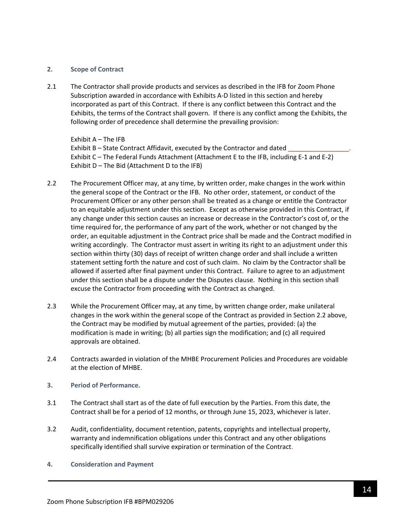#### **2. Scope of Contract**

2.1 The Contractor shall provide products and services as described in the IFB for Zoom Phone Subscription awarded in accordance with Exhibits A-D listed in this section and hereby incorporated as part of this Contract. If there is any conflict between this Contract and the Exhibits, the terms of the Contract shall govern. If there is any conflict among the Exhibits, the following order of precedence shall determine the prevailing provision:

Exhibit A – The IFB Exhibit B – State Contract Affidavit, executed by the Contractor and dated Exhibit C – The Federal Funds Attachment (Attachment E to the IFB, including E-1 and E-2) Exhibit D – The Bid (Attachment D to the IFB)

- 2.2 The Procurement Officer may, at any time, by written order, make changes in the work within the general scope of the Contract or the IFB. No other order, statement, or conduct of the Procurement Officer or any other person shall be treated as a change or entitle the Contractor to an equitable adjustment under this section. Except as otherwise provided in this Contract, if any change under this section causes an increase or decrease in the Contractor's cost of, or the time required for, the performance of any part of the work, whether or not changed by the order, an equitable adjustment in the Contract price shall be made and the Contract modified in writing accordingly. The Contractor must assert in writing its right to an adjustment under this section within thirty (30) days of receipt of written change order and shall include a written statement setting forth the nature and cost of such claim. No claim by the Contractor shall be allowed if asserted after final payment under this Contract. Failure to agree to an adjustment under this section shall be a dispute under the Disputes clause. Nothing in this section shall excuse the Contractor from proceeding with the Contract as changed.
- 2.3 While the Procurement Officer may, at any time, by written change order, make unilateral changes in the work within the general scope of the Contract as provided in Section 2.2 above, the Contract may be modified by mutual agreement of the parties, provided: (a) the modification is made in writing; (b) all parties sign the modification; and (c) all required approvals are obtained.
- 2.4 Contracts awarded in violation of the MHBE Procurement Policies and Procedures are voidable at the election of MHBE.
- **3. Period of Performance.**
- 3.1 The Contract shall start as of the date of full execution by the Parties. From this date, the Contract shall be for a period of 12 months, or through June 15, 2023, whichever is later.
- 3.2 Audit, confidentiality, document retention, patents, copyrights and intellectual property, warranty and indemnification obligations under this Contract and any other obligations specifically identified shall survive expiration or termination of the Contract.
- **4. Consideration and Payment**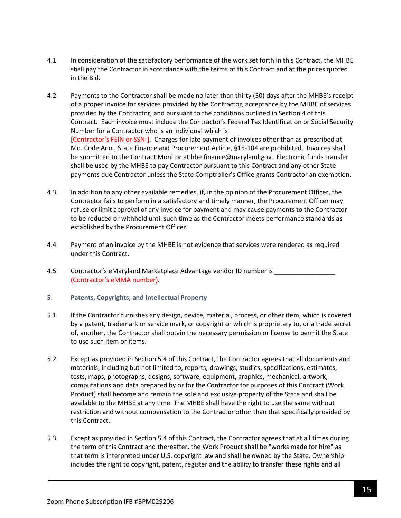- 4.1 In consideration of the satisfactory performance of the work set forth in this Contract, the MHBE shall pay the Contractor in accordance with the terms of this Contract and at the prices quoted in the Bid.
- 4.2 Payments to the Contractor shall be made no later than thirty (30) days after the MHBE's receipt of a proper invoice for services provided by the Contractor, acceptance by the MHBE of services provided by the Contractor, and pursuant to the conditions outlined in Section 4 of this Contract. Each invoice must include the Contractor's Federal Tax Identification or Social Security Number for a Contractor who is an individual which is [Contractor's FEIN or SSN-]. Charges for late payment of invoices other than as prescribed at Md. Code Ann., State Finance and Procurement Article, §15-104 are prohibited. Invoices shall be submitted to the Contract Monitor at hbe.finance@maryland.gov. Electronic funds transfer shall be used by the MHBE to pay Contractor pursuant to this Contract and any other State payments due Contractor unless the State Comptroller's Office grants Contractor an exemption.
- 4.3 In addition to any other available remedies, if, in the opinion of the Procurement Officer, the Contractor fails to perform in a satisfactory and timely manner, the Procurement Officer may refuse or limit approval of any invoice for payment and may cause payments to the Contractor to be reduced or withheld until such time as the Contractor meets performance standards as established by the Procurement Officer.
- 4.4 Payment of an invoice by the MHBE is not evidence that services were rendered as required under this Contract.
- 4.5 Contractor's eMaryland Marketplace Advantage vendor ID number is \_\_\_\_\_\_\_\_\_\_\_ (Contractor's eMMA number).
- **5. Patents, Copyrights, and Intellectual Property**
- 5.1 If the Contractor furnishes any design, device, material, process, or other item, which is covered by a patent, trademark or service mark, or copyright or which is proprietary to, or a trade secret of, another, the Contractor shall obtain the necessary permission or license to permit the State to use such item or items.
- 5.2 Except as provided in Section 5.4 of this Contract, the Contractor agrees that all documents and materials, including but not limited to, reports, drawings, studies, specifications, estimates, tests, maps, photographs, designs, software, equipment, graphics, mechanical, artwork, computations and data prepared by or for the Contractor for purposes of this Contract (Work Product) shall become and remain the sole and exclusive property of the State and shall be available to the MHBE at any time. The MHBE shall have the right to use the same without restriction and without compensation to the Contractor other than that specifically provided by this Contract.
- 5.3 Except as provided in Section 5.4 of this Contract, the Contractor agrees that at all times during the term of this Contract and thereafter, the Work Product shall be "works made for hire" as that term is interpreted under U.S. copyright law and shall be owned by the State. Ownership includes the right to copyright, patent, register and the ability to transfer these rights and all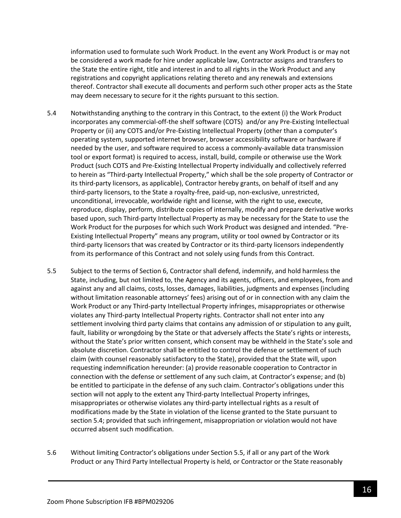information used to formulate such Work Product. In the event any Work Product is or may not be considered a work made for hire under applicable law, Contractor assigns and transfers to the State the entire right, title and interest in and to all rights in the Work Product and any registrations and copyright applications relating thereto and any renewals and extensions thereof. Contractor shall execute all documents and perform such other proper acts as the State may deem necessary to secure for it the rights pursuant to this section.

- 5.4 Notwithstanding anything to the contrary in this Contract, to the extent (i) the Work Product incorporates any commercial-off-the shelf software (COTS) and/or any Pre-Existing Intellectual Property or (ii) any COTS and/or Pre-Existing Intellectual Property (other than a computer's operating system, supported internet browser, browser accessibility software or hardware if needed by the user, and software required to access a commonly-available data transmission tool or export format) is required to access, install, build, compile or otherwise use the Work Product (such COTS and Pre-Existing Intellectual Property individually and collectively referred to herein as "Third-party Intellectual Property," which shall be the sole property of Contractor or its third-party licensors, as applicable), Contractor hereby grants, on behalf of itself and any third-party licensors, to the State a royalty-free, paid-up, non-exclusive, unrestricted, unconditional, irrevocable, worldwide right and license, with the right to use, execute, reproduce, display, perform, distribute copies of internally, modify and prepare derivative works based upon, such Third-party Intellectual Property as may be necessary for the State to use the Work Product for the purposes for which such Work Product was designed and intended. "Pre-Existing Intellectual Property" means any program, utility or tool owned by Contractor or its third-party licensors that was created by Contractor or its third-party licensors independently from its performance of this Contract and not solely using funds from this Contract.
- 5.5 Subject to the terms of Section 6, Contractor shall defend, indemnify, and hold harmless the State, including, but not limited to, the Agency and its agents, officers, and employees, from and against any and all claims, costs, losses, damages, liabilities, judgments and expenses (including without limitation reasonable attorneys' fees) arising out of or in connection with any claim the Work Product or any Third-party Intellectual Property infringes, misappropriates or otherwise violates any Third-party Intellectual Property rights. Contractor shall not enter into any settlement involving third party claims that contains any admission of or stipulation to any guilt, fault, liability or wrongdoing by the State or that adversely affects the State's rights or interests, without the State's prior written consent, which consent may be withheld in the State's sole and absolute discretion. Contractor shall be entitled to control the defense or settlement of such claim (with counsel reasonably satisfactory to the State), provided that the State will, upon requesting indemnification hereunder: (a) provide reasonable cooperation to Contractor in connection with the defense or settlement of any such claim, at Contractor's expense; and (b) be entitled to participate in the defense of any such claim. Contractor's obligations under this section will not apply to the extent any Third-party Intellectual Property infringes, misappropriates or otherwise violates any third-party intellectual rights as a result of modifications made by the State in violation of the license granted to the State pursuant to section 5.4; provided that such infringement, misappropriation or violation would not have occurred absent such modification.
- 5.6 Without limiting Contractor's obligations under Section 5.5, if all or any part of the Work Product or any Third Party Intellectual Property is held, or Contractor or the State reasonably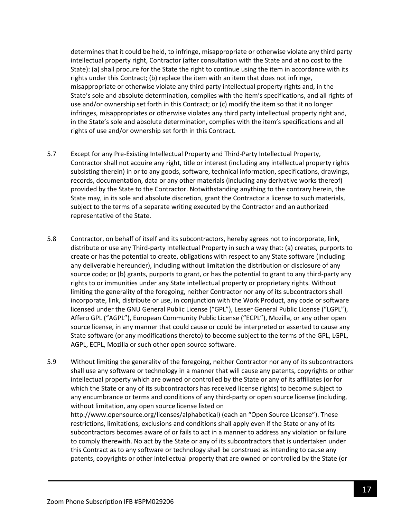determines that it could be held, to infringe, misappropriate or otherwise violate any third party intellectual property right, Contractor (after consultation with the State and at no cost to the State): (a) shall procure for the State the right to continue using the item in accordance with its rights under this Contract; (b) replace the item with an item that does not infringe, misappropriate or otherwise violate any third party intellectual property rights and, in the State's sole and absolute determination, complies with the item's specifications, and all rights of use and/or ownership set forth in this Contract; or (c) modify the item so that it no longer infringes, misappropriates or otherwise violates any third party intellectual property right and, in the State's sole and absolute determination, complies with the item's specifications and all rights of use and/or ownership set forth in this Contract.

- 5.7 Except for any Pre-Existing Intellectual Property and Third-Party Intellectual Property, Contractor shall not acquire any right, title or interest (including any intellectual property rights subsisting therein) in or to any goods, software, technical information, specifications, drawings, records, documentation, data or any other materials (including any derivative works thereof) provided by the State to the Contractor. Notwithstanding anything to the contrary herein, the State may, in its sole and absolute discretion, grant the Contractor a license to such materials, subject to the terms of a separate writing executed by the Contractor and an authorized representative of the State.
- 5.8 Contractor, on behalf of itself and its subcontractors, hereby agrees not to incorporate, link, distribute or use any Third-party Intellectual Property in such a way that: (a) creates, purports to create or has the potential to create, obligations with respect to any State software (including any deliverable hereunder), including without limitation the distribution or disclosure of any source code; or (b) grants, purports to grant, or has the potential to grant to any third-party any rights to or immunities under any State intellectual property or proprietary rights. Without limiting the generality of the foregoing, neither Contractor nor any of its subcontractors shall incorporate, link, distribute or use, in conjunction with the Work Product, any code or software licensed under the GNU General Public License ("GPL"), Lesser General Public License ("LGPL"), Affero GPL ("AGPL"), European Community Public License ("ECPL"), Mozilla, or any other open source license, in any manner that could cause or could be interpreted or asserted to cause any State software (or any modifications thereto) to become subject to the terms of the GPL, LGPL, AGPL, ECPL, Mozilla or such other open source software.
- 5.9 Without limiting the generality of the foregoing, neither Contractor nor any of its subcontractors shall use any software or technology in a manner that will cause any patents, copyrights or other intellectual property which are owned or controlled by the State or any of its affiliates (or for which the State or any of its subcontractors has received license rights) to become subject to any encumbrance or terms and conditions of any third-party or open source license (including, without limitation, any open source license listed on http://www.opensource.org/licenses/alphabetical) (each an "Open Source License"). These restrictions, limitations, exclusions and conditions shall apply even if the State or any of its subcontractors becomes aware of or fails to act in a manner to address any violation or failure to comply therewith. No act by the State or any of its subcontractors that is undertaken under this Contract as to any software or technology shall be construed as intending to cause any patents, copyrights or other intellectual property that are owned or controlled by the State (or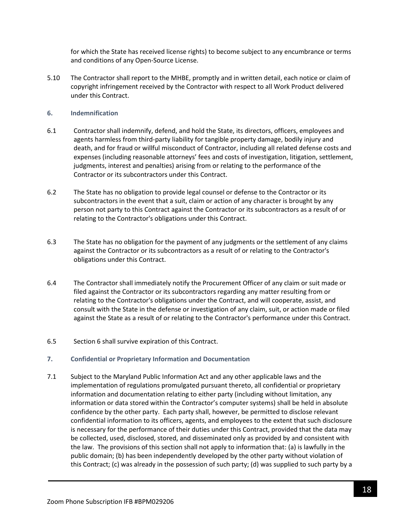for which the State has received license rights) to become subject to any encumbrance or terms and conditions of any Open-Source License.

5.10 The Contractor shall report to the MHBE, promptly and in written detail, each notice or claim of copyright infringement received by the Contractor with respect to all Work Product delivered under this Contract.

#### **6. Indemnification**

- 6.1 Contractor shall indemnify, defend, and hold the State, its directors, officers, employees and agents harmless from third-party liability for tangible property damage, bodily injury and death, and for fraud or willful misconduct of Contractor, including all related defense costs and expenses (including reasonable attorneys' fees and costs of investigation, litigation, settlement, judgments, interest and penalties) arising from or relating to the performance of the Contractor or its subcontractors under this Contract.
- 6.2 The State has no obligation to provide legal counsel or defense to the Contractor or its subcontractors in the event that a suit, claim or action of any character is brought by any person not party to this Contract against the Contractor or its subcontractors as a result of or relating to the Contractor's obligations under this Contract.
- 6.3 The State has no obligation for the payment of any judgments or the settlement of any claims against the Contractor or its subcontractors as a result of or relating to the Contractor's obligations under this Contract.
- 6.4 The Contractor shall immediately notify the Procurement Officer of any claim or suit made or filed against the Contractor or its subcontractors regarding any matter resulting from or relating to the Contractor's obligations under the Contract, and will cooperate, assist, and consult with the State in the defense or investigation of any claim, suit, or action made or filed against the State as a result of or relating to the Contractor's performance under this Contract.
- 6.5 Section 6 shall survive expiration of this Contract.

### **7. Confidential or Proprietary Information and Documentation**

7.1 Subject to the Maryland Public Information Act and any other applicable laws and the implementation of regulations promulgated pursuant thereto, all confidential or proprietary information and documentation relating to either party (including without limitation, any information or data stored within the Contractor's computer systems) shall be held in absolute confidence by the other party. Each party shall, however, be permitted to disclose relevant confidential information to its officers, agents, and employees to the extent that such disclosure is necessary for the performance of their duties under this Contract, provided that the data may be collected, used, disclosed, stored, and disseminated only as provided by and consistent with the law. The provisions of this section shall not apply to information that: (a) is lawfully in the public domain; (b) has been independently developed by the other party without violation of this Contract; (c) was already in the possession of such party; (d) was supplied to such party by a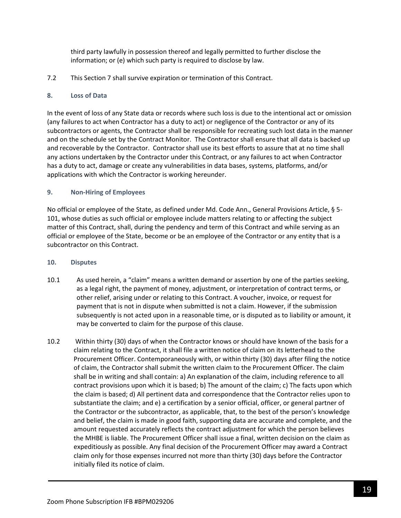third party lawfully in possession thereof and legally permitted to further disclose the information; or (e) which such party is required to disclose by law.

7.2 This Section 7 shall survive expiration or termination of this Contract.

## **8. Loss of Data**

In the event of loss of any State data or records where such loss is due to the intentional act or omission (any failures to act when Contractor has a duty to act) or negligence of the Contractor or any of its subcontractors or agents, the Contractor shall be responsible for recreating such lost data in the manner and on the schedule set by the Contract Monitor. The Contractor shall ensure that all data is backed up and recoverable by the Contractor. Contractor shall use its best efforts to assure that at no time shall any actions undertaken by the Contractor under this Contract, or any failures to act when Contractor has a duty to act, damage or create any vulnerabilities in data bases, systems, platforms, and/or applications with which the Contractor is working hereunder.

## **9. Non-Hiring of Employees**

No official or employee of the State, as defined under Md. Code Ann., General Provisions Article, § 5- 101, whose duties as such official or employee include matters relating to or affecting the subject matter of this Contract, shall, during the pendency and term of this Contract and while serving as an official or employee of the State, become or be an employee of the Contractor or any entity that is a subcontractor on this Contract.

### **10. Disputes**

- 10.1 As used herein, a "claim" means a written demand or assertion by one of the parties seeking, as a legal right, the payment of money, adjustment, or interpretation of contract terms, or other relief, arising under or relating to this Contract. A voucher, invoice, or request for payment that is not in dispute when submitted is not a claim. However, if the submission subsequently is not acted upon in a reasonable time, or is disputed as to liability or amount, it may be converted to claim for the purpose of this clause.
- 10.2 Within thirty (30) days of when the Contractor knows or should have known of the basis for a claim relating to the Contract, it shall file a written notice of claim on its letterhead to the Procurement Officer. Contemporaneously with, or within thirty (30) days after filing the notice of claim, the Contractor shall submit the written claim to the Procurement Officer. The claim shall be in writing and shall contain: a) An explanation of the claim, including reference to all contract provisions upon which it is based; b) The amount of the claim; c) The facts upon which the claim is based; d) All pertinent data and correspondence that the Contractor relies upon to substantiate the claim; and e) a certification by a senior official, officer, or general partner of the Contractor or the subcontractor, as applicable, that, to the best of the person's knowledge and belief, the claim is made in good faith, supporting data are accurate and complete, and the amount requested accurately reflects the contract adjustment for which the person believes the MHBE is liable. The Procurement Officer shall issue a final, written decision on the claim as expeditiously as possible. Any final decision of the Procurement Officer may award a Contract claim only for those expenses incurred not more than thirty (30) days before the Contractor initially filed its notice of claim.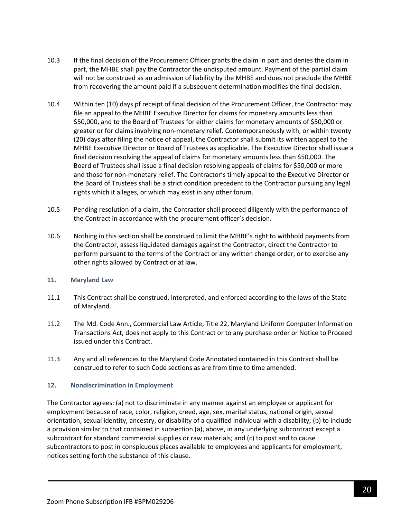- 10.3 If the final decision of the Procurement Officer grants the claim in part and denies the claim in part, the MHBE shall pay the Contractor the undisputed amount. Payment of the partial claim will not be construed as an admission of liability by the MHBE and does not preclude the MHBE from recovering the amount paid if a subsequent determination modifies the final decision.
- 10.4 Within ten (10) days pf receipt of final decision of the Procurement Officer, the Contractor may file an appeal to the MHBE Executive Director for claims for monetary amounts less than \$50,000, and to the Board of Trustees for either claims for monetary amounts of \$50,000 or greater or for claims involving non-monetary relief. Contemporaneously with, or within twenty (20) days after filing the notice of appeal, the Contractor shall submit its written appeal to the MHBE Executive Director or Board of Trustees as applicable. The Executive Director shall issue a final decision resolving the appeal of claims for monetary amounts less than \$50,000. The Board of Trustees shall issue a final decision resolving appeals of claims for \$50,000 or more and those for non-monetary relief. The Contractor's timely appeal to the Executive Director or the Board of Trustees shall be a strict condition precedent to the Contractor pursuing any legal rights which it alleges, or which may exist in any other forum.
- 10.5 Pending resolution of a claim, the Contractor shall proceed diligently with the performance of the Contract in accordance with the procurement officer's decision.
- 10.6 Nothing in this section shall be construed to limit the MHBE's right to withhold payments from the Contractor, assess liquidated damages against the Contractor, direct the Contractor to perform pursuant to the terms of the Contract or any written change order, or to exercise any other rights allowed by Contract or at law.

### **11. Maryland Law**

- 11.1 This Contract shall be construed, interpreted, and enforced according to the laws of the State of Maryland.
- 11.2 The Md. Code Ann., Commercial Law Article, Title 22, Maryland Uniform Computer Information Transactions Act, does not apply to this Contract or to any purchase order or Notice to Proceed issued under this Contract.
- 11.3 Any and all references to the Maryland Code Annotated contained in this Contract shall be construed to refer to such Code sections as are from time to time amended.

### **12. Nondiscrimination in Employment**

The Contractor agrees: (a) not to discriminate in any manner against an employee or applicant for employment because of race, color, religion, creed, age, sex, marital status, national origin, sexual orientation, sexual identity, ancestry, or disability of a qualified individual with a disability; (b) to include a provision similar to that contained in subsection (a), above, in any underlying subcontract except a subcontract for standard commercial supplies or raw materials; and (c) to post and to cause subcontractors to post in conspicuous places available to employees and applicants for employment, notices setting forth the substance of this clause.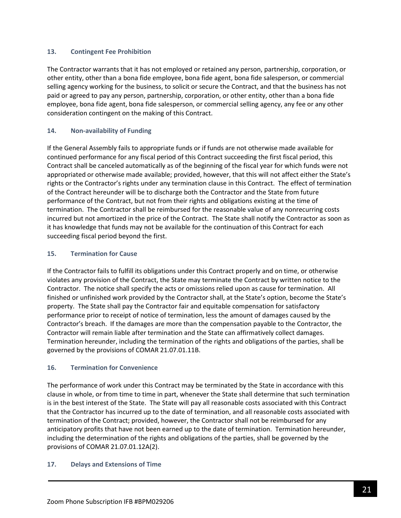### **13. Contingent Fee Prohibition**

The Contractor warrants that it has not employed or retained any person, partnership, corporation, or other entity, other than a bona fide employee, bona fide agent, bona fide salesperson, or commercial selling agency working for the business, to solicit or secure the Contract, and that the business has not paid or agreed to pay any person, partnership, corporation, or other entity, other than a bona fide employee, bona fide agent, bona fide salesperson, or commercial selling agency, any fee or any other consideration contingent on the making of this Contract.

## **14. Non-availability of Funding**

If the General Assembly fails to appropriate funds or if funds are not otherwise made available for continued performance for any fiscal period of this Contract succeeding the first fiscal period, this Contract shall be canceled automatically as of the beginning of the fiscal year for which funds were not appropriated or otherwise made available; provided, however, that this will not affect either the State's rights or the Contractor's rights under any termination clause in this Contract. The effect of termination of the Contract hereunder will be to discharge both the Contractor and the State from future performance of the Contract, but not from their rights and obligations existing at the time of termination. The Contractor shall be reimbursed for the reasonable value of any nonrecurring costs incurred but not amortized in the price of the Contract. The State shall notify the Contractor as soon as it has knowledge that funds may not be available for the continuation of this Contract for each succeeding fiscal period beyond the first.

## **15. Termination for Cause**

If the Contractor fails to fulfill its obligations under this Contract properly and on time, or otherwise violates any provision of the Contract, the State may terminate the Contract by written notice to the Contractor. The notice shall specify the acts or omissions relied upon as cause for termination. All finished or unfinished work provided by the Contractor shall, at the State's option, become the State's property. The State shall pay the Contractor fair and equitable compensation for satisfactory performance prior to receipt of notice of termination, less the amount of damages caused by the Contractor's breach. If the damages are more than the compensation payable to the Contractor, the Contractor will remain liable after termination and the State can affirmatively collect damages. Termination hereunder, including the termination of the rights and obligations of the parties, shall be governed by the provisions of COMAR 21.07.01.11B.

### **16. Termination for Convenience**

The performance of work under this Contract may be terminated by the State in accordance with this clause in whole, or from time to time in part, whenever the State shall determine that such termination is in the best interest of the State. The State will pay all reasonable costs associated with this Contract that the Contractor has incurred up to the date of termination, and all reasonable costs associated with termination of the Contract; provided, however, the Contractor shall not be reimbursed for any anticipatory profits that have not been earned up to the date of termination. Termination hereunder, including the determination of the rights and obligations of the parties, shall be governed by the provisions of COMAR 21.07.01.12A(2).

### **17. Delays and Extensions of Time**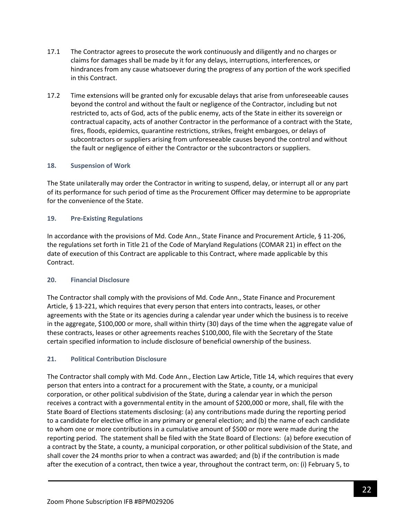- 17.1 The Contractor agrees to prosecute the work continuously and diligently and no charges or claims for damages shall be made by it for any delays, interruptions, interferences, or hindrances from any cause whatsoever during the progress of any portion of the work specified in this Contract.
- 17.2 Time extensions will be granted only for excusable delays that arise from unforeseeable causes beyond the control and without the fault or negligence of the Contractor, including but not restricted to, acts of God, acts of the public enemy, acts of the State in either its sovereign or contractual capacity, acts of another Contractor in the performance of a contract with the State, fires, floods, epidemics, quarantine restrictions, strikes, freight embargoes, or delays of subcontractors or suppliers arising from unforeseeable causes beyond the control and without the fault or negligence of either the Contractor or the subcontractors or suppliers.

## **18. Suspension of Work**

The State unilaterally may order the Contractor in writing to suspend, delay, or interrupt all or any part of its performance for such period of time as the Procurement Officer may determine to be appropriate for the convenience of the State.

## **19. Pre-Existing Regulations**

In accordance with the provisions of Md. Code Ann., State Finance and Procurement Article, § 11-206, the regulations set forth in Title 21 of the Code of Maryland Regulations (COMAR 21) in effect on the date of execution of this Contract are applicable to this Contract, where made applicable by this Contract.

### **20. Financial Disclosure**

The Contractor shall comply with the provisions of Md. Code Ann., State Finance and Procurement Article, § 13-221, which requires that every person that enters into contracts, leases, or other agreements with the State or its agencies during a calendar year under which the business is to receive in the aggregate, \$100,000 or more, shall within thirty (30) days of the time when the aggregate value of these contracts, leases or other agreements reaches \$100,000, file with the Secretary of the State certain specified information to include disclosure of beneficial ownership of the business.

# **21. Political Contribution Disclosure**

The Contractor shall comply with Md. Code Ann., Election Law Article, Title 14, which requires that every person that enters into a contract for a procurement with the State, a county, or a municipal corporation, or other political subdivision of the State, during a calendar year in which the person receives a contract with a governmental entity in the amount of \$200,000 or more, shall, file with the State Board of Elections statements disclosing: (a) any contributions made during the reporting period to a candidate for elective office in any primary or general election; and (b) the name of each candidate to whom one or more contributions in a cumulative amount of \$500 or more were made during the reporting period. The statement shall be filed with the State Board of Elections: (a) before execution of a contract by the State, a county, a municipal corporation, or other political subdivision of the State, and shall cover the 24 months prior to when a contract was awarded; and (b) if the contribution is made after the execution of a contract, then twice a year, throughout the contract term, on: (i) February 5, to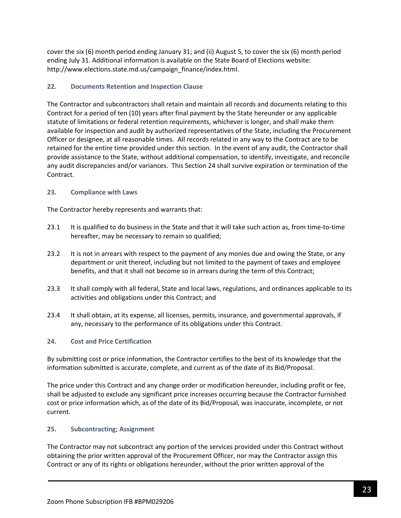cover the six (6) month period ending January 31; and (ii) August 5, to cover the six (6) month period ending July 31. Additional information is available on the State Board of Elections website: http://www.elections.state.md.us/campaign\_finance/index.html.

# **22. Documents Retention and Inspection Clause**

The Contractor and subcontractors shall retain and maintain all records and documents relating to this Contract for a period of ten (10) years after final payment by the State hereunder or any applicable statute of limitations or federal retention requirements, whichever is longer, and shall make them available for inspection and audit by authorized representatives of the State, including the Procurement Officer or designee, at all reasonable times. All records related in any way to the Contract are to be retained for the entire time provided under this section. In the event of any audit, the Contractor shall provide assistance to the State, without additional compensation, to identify, investigate, and reconcile any audit discrepancies and/or variances. This Section 24 shall survive expiration or termination of the Contract.

# **23. Compliance with Laws**

The Contractor hereby represents and warrants that:

- 23.1 It is qualified to do business in the State and that it will take such action as, from time-to-time hereafter, may be necessary to remain so qualified;
- 23.2 It is not in arrears with respect to the payment of any monies due and owing the State, or any department or unit thereof, including but not limited to the payment of taxes and employee benefits, and that it shall not become so in arrears during the term of this Contract;
- 23.3 It shall comply with all federal, State and local laws, regulations, and ordinances applicable to its activities and obligations under this Contract; and
- 23.4 It shall obtain, at its expense, all licenses, permits, insurance, and governmental approvals, if any, necessary to the performance of its obligations under this Contract.

# **24. Cost and Price Certification**

By submitting cost or price information, the Contractor certifies to the best of its knowledge that the information submitted is accurate, complete, and current as of the date of its Bid/Proposal.

The price under this Contract and any change order or modification hereunder, including profit or fee, shall be adjusted to exclude any significant price increases occurring because the Contractor furnished cost or price information which, as of the date of its Bid/Proposal, was inaccurate, incomplete, or not current.

# **25. Subcontracting; Assignment**

The Contractor may not subcontract any portion of the services provided under this Contract without obtaining the prior written approval of the Procurement Officer, nor may the Contractor assign this Contract or any of its rights or obligations hereunder, without the prior written approval of the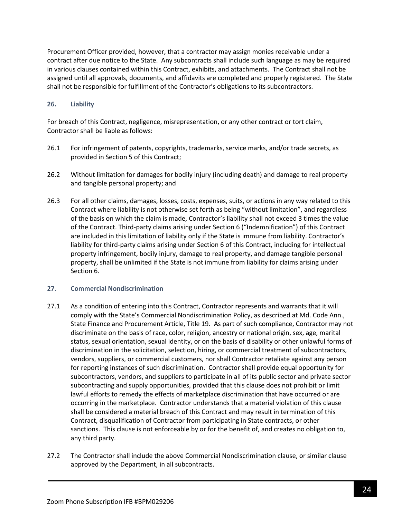Procurement Officer provided, however, that a contractor may assign monies receivable under a contract after due notice to the State. Any subcontracts shall include such language as may be required in various clauses contained within this Contract, exhibits, and attachments. The Contract shall not be assigned until all approvals, documents, and affidavits are completed and properly registered. The State shall not be responsible for fulfillment of the Contractor's obligations to its subcontractors.

# **26. Liability**

For breach of this Contract, negligence, misrepresentation, or any other contract or tort claim, Contractor shall be liable as follows:

- 26.1 For infringement of patents, copyrights, trademarks, service marks, and/or trade secrets, as provided in Section 5 of this Contract;
- 26.2 Without limitation for damages for bodily injury (including death) and damage to real property and tangible personal property; and
- 26.3 For all other claims, damages, losses, costs, expenses, suits, or actions in any way related to this Contract where liability is not otherwise set forth as being "without limitation", and regardless of the basis on which the claim is made, Contractor's liability shall not exceed 3 times the value of the Contract. Third-party claims arising under Section 6 ("Indemnification") of this Contract are included in this limitation of liability only if the State is immune from liability. Contractor's liability for third-party claims arising under Section 6 of this Contract, including for intellectual property infringement, bodily injury, damage to real property, and damage tangible personal property, shall be unlimited if the State is not immune from liability for claims arising under Section 6.

### **27. Commercial Nondiscrimination**

- 27.1 As a condition of entering into this Contract, Contractor represents and warrants that it will comply with the State's Commercial Nondiscrimination Policy, as described at Md. Code Ann., State Finance and Procurement Article, Title 19. As part of such compliance, Contractor may not discriminate on the basis of race, color, religion, ancestry or national origin, sex, age, marital status, sexual orientation, sexual identity, or on the basis of disability or other unlawful forms of discrimination in the solicitation, selection, hiring, or commercial treatment of subcontractors, vendors, suppliers, or commercial customers, nor shall Contractor retaliate against any person for reporting instances of such discrimination. Contractor shall provide equal opportunity for subcontractors, vendors, and suppliers to participate in all of its public sector and private sector subcontracting and supply opportunities, provided that this clause does not prohibit or limit lawful efforts to remedy the effects of marketplace discrimination that have occurred or are occurring in the marketplace. Contractor understands that a material violation of this clause shall be considered a material breach of this Contract and may result in termination of this Contract, disqualification of Contractor from participating in State contracts, or other sanctions. This clause is not enforceable by or for the benefit of, and creates no obligation to, any third party.
- 27.2 The Contractor shall include the above Commercial Nondiscrimination clause, or similar clause approved by the Department, in all subcontracts.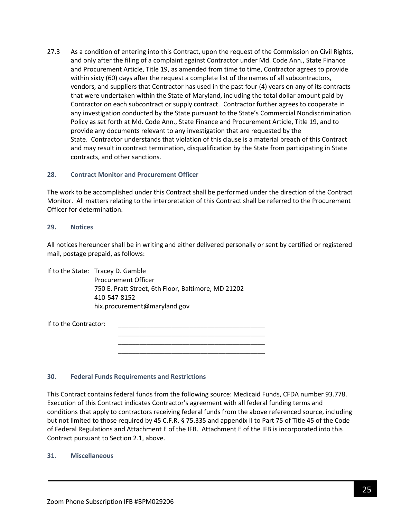27.3 As a condition of entering into this Contract, upon the request of the Commission on Civil Rights, and only after the filing of a complaint against Contractor under Md. Code Ann., State Finance and Procurement Article, Title 19, as amended from time to time, Contractor agrees to provide within sixty (60) days after the request a complete list of the names of all subcontractors, vendors, and suppliers that Contractor has used in the past four (4) years on any of its contracts that were undertaken within the State of Maryland, including the total dollar amount paid by Contractor on each subcontract or supply contract. Contractor further agrees to cooperate in any investigation conducted by the State pursuant to the State's Commercial Nondiscrimination Policy as set forth at Md. Code Ann., State Finance and Procurement Article, Title 19, and to provide any documents relevant to any investigation that are requested by the State. Contractor understands that violation of this clause is a material breach of this Contract and may result in contract termination, disqualification by the State from participating in State contracts, and other sanctions.

#### **28. Contract Monitor and Procurement Officer**

The work to be accomplished under this Contract shall be performed under the direction of the Contract Monitor. All matters relating to the interpretation of this Contract shall be referred to the Procurement Officer for determination.

#### **29. Notices**

All notices hereunder shall be in writing and either delivered personally or sent by certified or registered mail, postage prepaid, as follows:

> \_\_\_\_\_\_\_\_\_\_\_\_\_\_\_\_\_\_\_\_\_\_\_\_\_\_\_\_\_\_\_\_\_\_\_\_\_\_\_\_\_ \_\_\_\_\_\_\_\_\_\_\_\_\_\_\_\_\_\_\_\_\_\_\_\_\_\_\_\_\_\_\_\_\_\_\_\_\_\_\_\_\_ \_\_\_\_\_\_\_\_\_\_\_\_\_\_\_\_\_\_\_\_\_\_\_\_\_\_\_\_\_\_\_\_\_\_\_\_\_\_\_\_\_

If to the State: Tracey D. Gamble Procurement Officer 750 E. Pratt Street, 6th Floor, Baltimore, MD 21202 410-547-8152 hix.procurement@maryland.gov

If to the Contractor:

#### **30. Federal Funds Requirements and Restrictions**

This Contract contains federal funds from the following source: Medicaid Funds, CFDA number 93.778. Execution of this Contract indicates Contractor's agreement with all federal funding terms and conditions that apply to contractors receiving federal funds from the above referenced source, including but not limited to those required by 45 C.F.R. § 75.335 and appendix II to Part 75 of Title 45 of the Code of Federal Regulations and Attachment E of the IFB. Attachment E of the IFB is incorporated into this Contract pursuant to Section 2.1, above.

#### **31. Miscellaneous**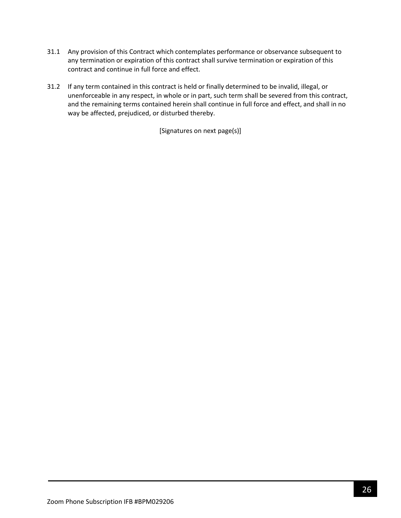- 31.1 Any provision of this Contract which contemplates performance or observance subsequent to any termination or expiration of this contract shall survive termination or expiration of this contract and continue in full force and effect.
- 31.2 If any term contained in this contract is held or finally determined to be invalid, illegal, or unenforceable in any respect, in whole or in part, such term shall be severed from this contract, and the remaining terms contained herein shall continue in full force and effect, and shall in no way be affected, prejudiced, or disturbed thereby.

[Signatures on next page(s)]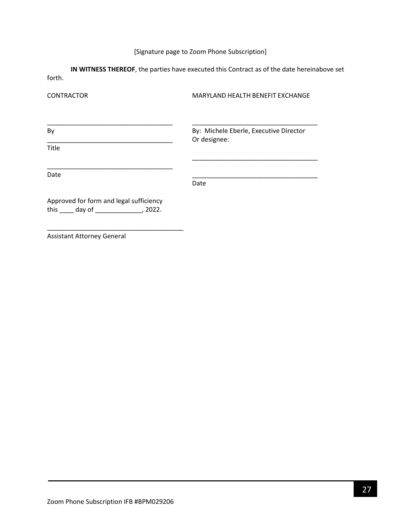# [Signature page to Zoom Phone Subscription]

**IN WITNESS THEREOF**, the parties have executed this Contract as of the date hereinabove set forth.

| <b>CONTRACTOR</b>                                                            | MARYLAND HEALTH BENEFIT EXCHANGE       |  |  |
|------------------------------------------------------------------------------|----------------------------------------|--|--|
| By                                                                           | By: Michele Eberle, Executive Director |  |  |
| <b>Title</b>                                                                 | Or designee:                           |  |  |
| Date                                                                         | Date                                   |  |  |
| Approved for form and legal sufficiency<br>this $\_\_$ day of $\_\_$ , 2022. |                                        |  |  |

Assistant Attorney General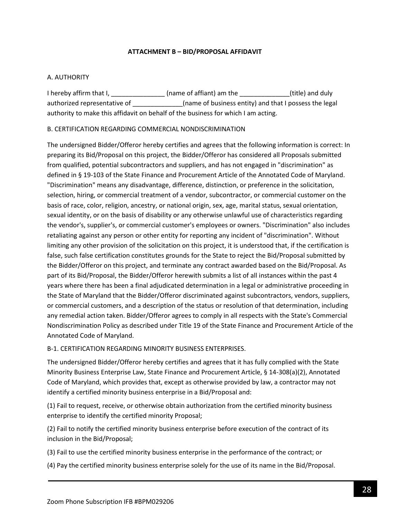## **ATTACHMENT B – BID/PROPOSAL AFFIDAVIT**

### <span id="page-27-0"></span>A. AUTHORITY

I hereby affirm that I, \_\_\_\_\_\_\_\_\_\_\_\_\_\_\_\_\_\_(name of affiant) am the \_\_\_\_\_\_\_\_\_\_\_\_\_\_(title) and duly authorized representative of \_\_\_\_\_\_\_\_\_\_\_\_\_(name of business entity) and that I possess the legal authority to make this affidavit on behalf of the business for which I am acting.

## B. CERTIFICATION REGARDING COMMERCIAL NONDISCRIMINATION

The undersigned Bidder/Offeror hereby certifies and agrees that the following information is correct: In preparing its Bid/Proposal on this project, the Bidder/Offeror has considered all Proposals submitted from qualified, potential subcontractors and suppliers, and has not engaged in "discrimination" as defined in § 19-103 of the State Finance and Procurement Article of the Annotated Code of Maryland. "Discrimination" means any disadvantage, difference, distinction, or preference in the solicitation, selection, hiring, or commercial treatment of a vendor, subcontractor, or commercial customer on the basis of race, color, religion, ancestry, or national origin, sex, age, marital status, sexual orientation, sexual identity, or on the basis of disability or any otherwise unlawful use of characteristics regarding the vendor's, supplier's, or commercial customer's employees or owners. "Discrimination" also includes retaliating against any person or other entity for reporting any incident of "discrimination". Without limiting any other provision of the solicitation on this project, it is understood that, if the certification is false, such false certification constitutes grounds for the State to reject the Bid/Proposal submitted by the Bidder/Offeror on this project, and terminate any contract awarded based on the Bid/Proposal. As part of its Bid/Proposal, the Bidder/Offeror herewith submits a list of all instances within the past 4 years where there has been a final adjudicated determination in a legal or administrative proceeding in the State of Maryland that the Bidder/Offeror discriminated against subcontractors, vendors, suppliers, or commercial customers, and a description of the status or resolution of that determination, including any remedial action taken. Bidder/Offeror agrees to comply in all respects with the State's Commercial Nondiscrimination Policy as described under Title 19 of the State Finance and Procurement Article of the Annotated Code of Maryland.

### B-1. CERTIFICATION REGARDING MINORITY BUSINESS ENTERPRISES.

The undersigned Bidder/Offeror hereby certifies and agrees that it has fully complied with the State Minority Business Enterprise Law, State Finance and Procurement Article, § 14-308(a)(2), Annotated Code of Maryland, which provides that, except as otherwise provided by law, a contractor may not identify a certified minority business enterprise in a Bid/Proposal and:

(1) Fail to request, receive, or otherwise obtain authorization from the certified minority business enterprise to identify the certified minority Proposal;

(2) Fail to notify the certified minority business enterprise before execution of the contract of its inclusion in the Bid/Proposal;

(3) Fail to use the certified minority business enterprise in the performance of the contract; or

(4) Pay the certified minority business enterprise solely for the use of its name in the Bid/Proposal.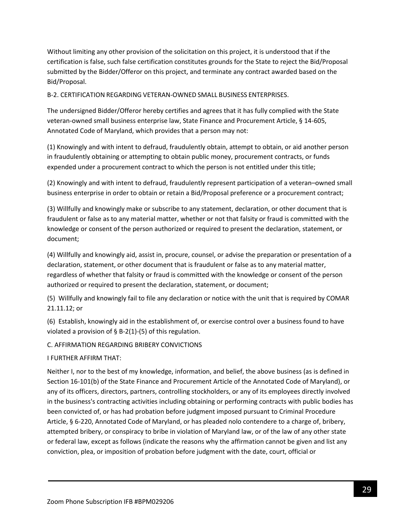Without limiting any other provision of the solicitation on this project, it is understood that if the certification is false, such false certification constitutes grounds for the State to reject the Bid/Proposal submitted by the Bidder/Offeror on this project, and terminate any contract awarded based on the Bid/Proposal.

B-2. CERTIFICATION REGARDING VETERAN-OWNED SMALL BUSINESS ENTERPRISES.

The undersigned Bidder/Offeror hereby certifies and agrees that it has fully complied with the State veteran-owned small business enterprise law, State Finance and Procurement Article, § 14-605, Annotated Code of Maryland, which provides that a person may not:

(1) Knowingly and with intent to defraud, fraudulently obtain, attempt to obtain, or aid another person in fraudulently obtaining or attempting to obtain public money, procurement contracts, or funds expended under a procurement contract to which the person is not entitled under this title;

(2) Knowingly and with intent to defraud, fraudulently represent participation of a veteran–owned small business enterprise in order to obtain or retain a Bid/Proposal preference or a procurement contract;

(3) Willfully and knowingly make or subscribe to any statement, declaration, or other document that is fraudulent or false as to any material matter, whether or not that falsity or fraud is committed with the knowledge or consent of the person authorized or required to present the declaration, statement, or document;

(4) Willfully and knowingly aid, assist in, procure, counsel, or advise the preparation or presentation of a declaration, statement, or other document that is fraudulent or false as to any material matter, regardless of whether that falsity or fraud is committed with the knowledge or consent of the person authorized or required to present the declaration, statement, or document;

(5) Willfully and knowingly fail to file any declaration or notice with the unit that is required by COMAR 21.11.12; or

(6) Establish, knowingly aid in the establishment of, or exercise control over a business found to have violated a provision of  $\S$  B-2(1)-(5) of this regulation.

C. AFFIRMATION REGARDING BRIBERY CONVICTIONS

I FURTHER AFFIRM THAT:

Neither I, nor to the best of my knowledge, information, and belief, the above business (as is defined in Section 16-101(b) of the State Finance and Procurement Article of the Annotated Code of Maryland), or any of its officers, directors, partners, controlling stockholders, or any of its employees directly involved in the business's contracting activities including obtaining or performing contracts with public bodies has been convicted of, or has had probation before judgment imposed pursuant to Criminal Procedure Article, § 6-220, Annotated Code of Maryland, or has pleaded nolo contendere to a charge of, bribery, attempted bribery, or conspiracy to bribe in violation of Maryland law, or of the law of any other state or federal law, except as follows (indicate the reasons why the affirmation cannot be given and list any conviction, plea, or imposition of probation before judgment with the date, court, official or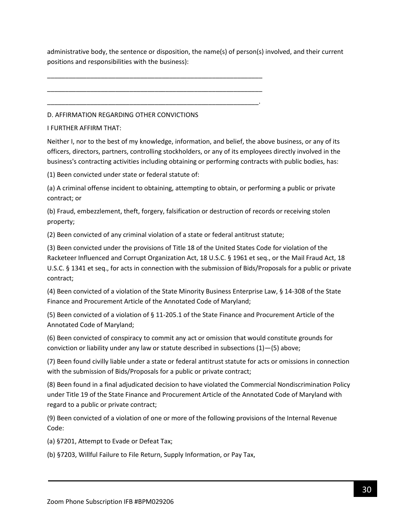administrative body, the sentence or disposition, the name(s) of person(s) involved, and their current positions and responsibilities with the business):

D. AFFIRMATION REGARDING OTHER CONVICTIONS

\_\_\_\_\_\_\_\_\_\_\_\_\_\_\_\_\_\_\_\_\_\_\_\_\_\_\_\_\_\_\_\_\_\_\_\_\_\_\_\_\_\_\_\_\_\_\_\_\_\_\_\_\_\_\_\_\_\_\_\_

\_\_\_\_\_\_\_\_\_\_\_\_\_\_\_\_\_\_\_\_\_\_\_\_\_\_\_\_\_\_\_\_\_\_\_\_\_\_\_\_\_\_\_\_\_\_\_\_\_\_\_\_\_\_\_\_\_\_\_\_

\_\_\_\_\_\_\_\_\_\_\_\_\_\_\_\_\_\_\_\_\_\_\_\_\_\_\_\_\_\_\_\_\_\_\_\_\_\_\_\_\_\_\_\_\_\_\_\_\_\_\_\_\_\_\_\_\_\_\_.

I FURTHER AFFIRM THAT:

Neither I, nor to the best of my knowledge, information, and belief, the above business, or any of its officers, directors, partners, controlling stockholders, or any of its employees directly involved in the business's contracting activities including obtaining or performing contracts with public bodies, has:

(1) Been convicted under state or federal statute of:

(a) A criminal offense incident to obtaining, attempting to obtain, or performing a public or private contract; or

(b) Fraud, embezzlement, theft, forgery, falsification or destruction of records or receiving stolen property;

(2) Been convicted of any criminal violation of a state or federal antitrust statute;

(3) Been convicted under the provisions of Title 18 of the United States Code for violation of the Racketeer Influenced and Corrupt Organization Act, 18 U.S.C. § 1961 et seq., or the Mail Fraud Act, 18 U.S.C. § 1341 et seq., for acts in connection with the submission of Bids/Proposals for a public or private contract;

(4) Been convicted of a violation of the State Minority Business Enterprise Law, § 14-308 of the State Finance and Procurement Article of the Annotated Code of Maryland;

(5) Been convicted of a violation of § 11-205.1 of the State Finance and Procurement Article of the Annotated Code of Maryland;

(6) Been convicted of conspiracy to commit any act or omission that would constitute grounds for conviction or liability under any law or statute described in subsections (1)—(5) above;

(7) Been found civilly liable under a state or federal antitrust statute for acts or omissions in connection with the submission of Bids/Proposals for a public or private contract;

(8) Been found in a final adjudicated decision to have violated the Commercial Nondiscrimination Policy under Title 19 of the State Finance and Procurement Article of the Annotated Code of Maryland with regard to a public or private contract;

(9) Been convicted of a violation of one or more of the following provisions of the Internal Revenue Code:

(a) §7201, Attempt to Evade or Defeat Tax;

(b) §7203, Willful Failure to File Return, Supply Information, or Pay Tax,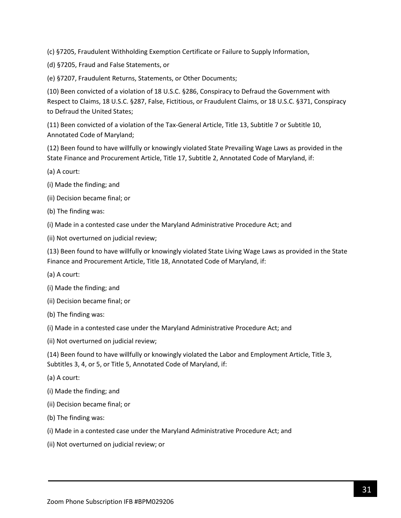(c) §7205, Fraudulent Withholding Exemption Certificate or Failure to Supply Information,

(d) §7205, Fraud and False Statements, or

(e) §7207, Fraudulent Returns, Statements, or Other Documents;

(10) Been convicted of a violation of 18 U.S.C. §286, Conspiracy to Defraud the Government with Respect to Claims, 18 U.S.C. §287, False, Fictitious, or Fraudulent Claims, or 18 U.S.C. §371, Conspiracy to Defraud the United States;

(11) Been convicted of a violation of the Tax-General Article, Title 13, Subtitle 7 or Subtitle 10, Annotated Code of Maryland;

(12) Been found to have willfully or knowingly violated State Prevailing Wage Laws as provided in the State Finance and Procurement Article, Title 17, Subtitle 2, Annotated Code of Maryland, if:

- (a) A court:
- (i) Made the finding; and
- (ii) Decision became final; or
- (b) The finding was:
- (i) Made in a contested case under the Maryland Administrative Procedure Act; and
- (ii) Not overturned on judicial review;

(13) Been found to have willfully or knowingly violated State Living Wage Laws as provided in the State Finance and Procurement Article, Title 18, Annotated Code of Maryland, if:

- (a) A court:
- (i) Made the finding; and
- (ii) Decision became final; or
- (b) The finding was:
- (i) Made in a contested case under the Maryland Administrative Procedure Act; and
- (ii) Not overturned on judicial review;

(14) Been found to have willfully or knowingly violated the Labor and Employment Article, Title 3, Subtitles 3, 4, or 5, or Title 5, Annotated Code of Maryland, if:

- (a) A court:
- (i) Made the finding; and
- (ii) Decision became final; or
- (b) The finding was:
- (i) Made in a contested case under the Maryland Administrative Procedure Act; and
- (ii) Not overturned on judicial review; or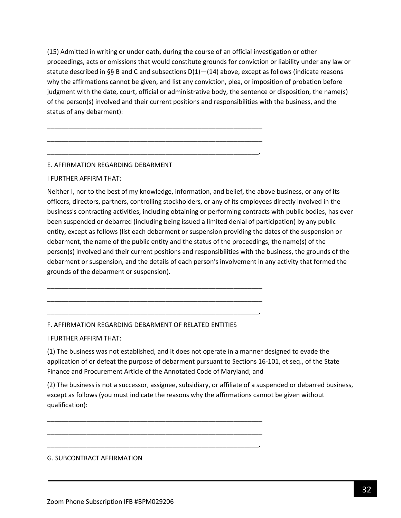(15) Admitted in writing or under oath, during the course of an official investigation or other proceedings, acts or omissions that would constitute grounds for conviction or liability under any law or statute described in §§ B and C and subsections  $D(1)$ — $(14)$  above, except as follows (indicate reasons why the affirmations cannot be given, and list any conviction, plea, or imposition of probation before judgment with the date, court, official or administrative body, the sentence or disposition, the name(s) of the person(s) involved and their current positions and responsibilities with the business, and the status of any debarment):

\_\_\_\_\_\_\_\_\_\_\_\_\_\_\_\_\_\_\_\_\_\_\_\_\_\_\_\_\_\_\_\_\_\_\_\_\_\_\_\_\_\_\_\_\_\_\_\_\_\_\_\_\_\_\_\_\_\_\_\_

\_\_\_\_\_\_\_\_\_\_\_\_\_\_\_\_\_\_\_\_\_\_\_\_\_\_\_\_\_\_\_\_\_\_\_\_\_\_\_\_\_\_\_\_\_\_\_\_\_\_\_\_\_\_\_\_\_\_\_\_

\_\_\_\_\_\_\_\_\_\_\_\_\_\_\_\_\_\_\_\_\_\_\_\_\_\_\_\_\_\_\_\_\_\_\_\_\_\_\_\_\_\_\_\_\_\_\_\_\_\_\_\_\_\_\_\_\_\_\_.

## E. AFFIRMATION REGARDING DEBARMENT

### I FURTHER AFFIRM THAT:

Neither I, nor to the best of my knowledge, information, and belief, the above business, or any of its officers, directors, partners, controlling stockholders, or any of its employees directly involved in the business's contracting activities, including obtaining or performing contracts with public bodies, has ever been suspended or debarred (including being issued a limited denial of participation) by any public entity, except as follows (list each debarment or suspension providing the dates of the suspension or debarment, the name of the public entity and the status of the proceedings, the name(s) of the person(s) involved and their current positions and responsibilities with the business, the grounds of the debarment or suspension, and the details of each person's involvement in any activity that formed the grounds of the debarment or suspension).

### F. AFFIRMATION REGARDING DEBARMENT OF RELATED ENTITIES

\_\_\_\_\_\_\_\_\_\_\_\_\_\_\_\_\_\_\_\_\_\_\_\_\_\_\_\_\_\_\_\_\_\_\_\_\_\_\_\_\_\_\_\_\_\_\_\_\_\_\_\_\_\_\_\_\_\_\_\_

\_\_\_\_\_\_\_\_\_\_\_\_\_\_\_\_\_\_\_\_\_\_\_\_\_\_\_\_\_\_\_\_\_\_\_\_\_\_\_\_\_\_\_\_\_\_\_\_\_\_\_\_\_\_\_\_\_\_\_\_

\_\_\_\_\_\_\_\_\_\_\_\_\_\_\_\_\_\_\_\_\_\_\_\_\_\_\_\_\_\_\_\_\_\_\_\_\_\_\_\_\_\_\_\_\_\_\_\_\_\_\_\_\_\_\_\_\_\_\_.

\_\_\_\_\_\_\_\_\_\_\_\_\_\_\_\_\_\_\_\_\_\_\_\_\_\_\_\_\_\_\_\_\_\_\_\_\_\_\_\_\_\_\_\_\_\_\_\_\_\_\_\_\_\_\_\_\_\_\_\_

\_\_\_\_\_\_\_\_\_\_\_\_\_\_\_\_\_\_\_\_\_\_\_\_\_\_\_\_\_\_\_\_\_\_\_\_\_\_\_\_\_\_\_\_\_\_\_\_\_\_\_\_\_\_\_\_\_\_\_\_

\_\_\_\_\_\_\_\_\_\_\_\_\_\_\_\_\_\_\_\_\_\_\_\_\_\_\_\_\_\_\_\_\_\_\_\_\_\_\_\_\_\_\_\_\_\_\_\_\_\_\_\_\_\_\_\_\_\_\_.

I FURTHER AFFIRM THAT:

(1) The business was not established, and it does not operate in a manner designed to evade the application of or defeat the purpose of debarment pursuant to Sections 16-101, et seq., of the State Finance and Procurement Article of the Annotated Code of Maryland; and

(2) The business is not a successor, assignee, subsidiary, or affiliate of a suspended or debarred business, except as follows (you must indicate the reasons why the affirmations cannot be given without qualification):

#### G. SUBCONTRACT AFFIRMATION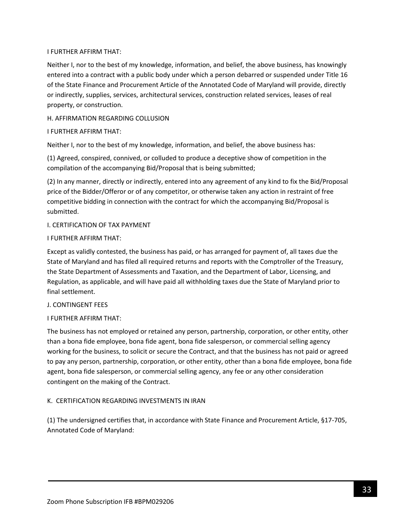## I FURTHER AFFIRM THAT:

Neither I, nor to the best of my knowledge, information, and belief, the above business, has knowingly entered into a contract with a public body under which a person debarred or suspended under Title 16 of the State Finance and Procurement Article of the Annotated Code of Maryland will provide, directly or indirectly, supplies, services, architectural services, construction related services, leases of real property, or construction.

# H. AFFIRMATION REGARDING COLLUSION

## I FURTHER AFFIRM THAT:

Neither I, nor to the best of my knowledge, information, and belief, the above business has:

(1) Agreed, conspired, connived, or colluded to produce a deceptive show of competition in the compilation of the accompanying Bid/Proposal that is being submitted;

(2) In any manner, directly or indirectly, entered into any agreement of any kind to fix the Bid/Proposal price of the Bidder/Offeror or of any competitor, or otherwise taken any action in restraint of free competitive bidding in connection with the contract for which the accompanying Bid/Proposal is submitted.

## I. CERTIFICATION OF TAX PAYMENT

### I FURTHER AFFIRM THAT:

Except as validly contested, the business has paid, or has arranged for payment of, all taxes due the State of Maryland and has filed all required returns and reports with the Comptroller of the Treasury, the State Department of Assessments and Taxation, and the Department of Labor, Licensing, and Regulation, as applicable, and will have paid all withholding taxes due the State of Maryland prior to final settlement.

### J. CONTINGENT FEES

# I FURTHER AFFIRM THAT:

The business has not employed or retained any person, partnership, corporation, or other entity, other than a bona fide employee, bona fide agent, bona fide salesperson, or commercial selling agency working for the business, to solicit or secure the Contract, and that the business has not paid or agreed to pay any person, partnership, corporation, or other entity, other than a bona fide employee, bona fide agent, bona fide salesperson, or commercial selling agency, any fee or any other consideration contingent on the making of the Contract.

# K. CERTIFICATION REGARDING INVESTMENTS IN IRAN

(1) The undersigned certifies that, in accordance with State Finance and Procurement Article, §17-705, Annotated Code of Maryland: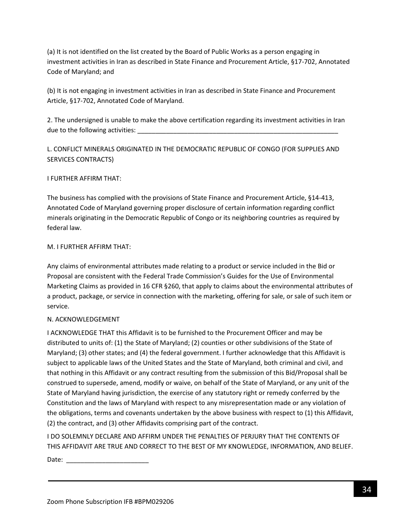(a) It is not identified on the list created by the Board of Public Works as a person engaging in investment activities in Iran as described in State Finance and Procurement Article, §17-702, Annotated Code of Maryland; and

(b) It is not engaging in investment activities in Iran as described in State Finance and Procurement Article, §17-702, Annotated Code of Maryland.

2. The undersigned is unable to make the above certification regarding its investment activities in Iran due to the following activities:

L. CONFLICT MINERALS ORIGINATED IN THE DEMOCRATIC REPUBLIC OF CONGO (FOR SUPPLIES AND SERVICES CONTRACTS)

# I FURTHER AFFIRM THAT:

The business has complied with the provisions of State Finance and Procurement Article, §14-413, Annotated Code of Maryland governing proper disclosure of certain information regarding conflict minerals originating in the Democratic Republic of Congo or its neighboring countries as required by federal law.

### M. I FURTHER AFFIRM THAT:

Any claims of environmental attributes made relating to a product or service included in the Bid or Proposal are consistent with the Federal Trade Commission's Guides for the Use of Environmental Marketing Claims as provided in 16 CFR §260, that apply to claims about the environmental attributes of a product, package, or service in connection with the marketing, offering for sale, or sale of such item or service.

# N. ACKNOWLEDGEMENT

I ACKNOWLEDGE THAT this Affidavit is to be furnished to the Procurement Officer and may be distributed to units of: (1) the State of Maryland; (2) counties or other subdivisions of the State of Maryland; (3) other states; and (4) the federal government. I further acknowledge that this Affidavit is subject to applicable laws of the United States and the State of Maryland, both criminal and civil, and that nothing in this Affidavit or any contract resulting from the submission of this Bid/Proposal shall be construed to supersede, amend, modify or waive, on behalf of the State of Maryland, or any unit of the State of Maryland having jurisdiction, the exercise of any statutory right or remedy conferred by the Constitution and the laws of Maryland with respect to any misrepresentation made or any violation of the obligations, terms and covenants undertaken by the above business with respect to (1) this Affidavit, (2) the contract, and (3) other Affidavits comprising part of the contract.

I DO SOLEMNLY DECLARE AND AFFIRM UNDER THE PENALTIES OF PERJURY THAT THE CONTENTS OF THIS AFFIDAVIT ARE TRUE AND CORRECT TO THE BEST OF MY KNOWLEDGE, INFORMATION, AND BELIEF.

Date:  $\frac{1}{\sqrt{2\pi}}$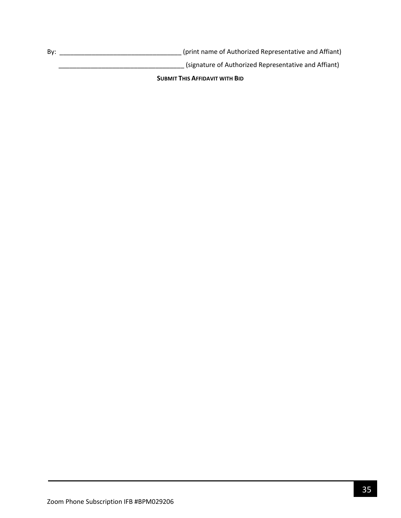By: \_\_\_\_\_\_\_\_\_\_\_\_\_\_\_\_\_\_\_\_\_\_\_\_\_\_\_\_\_\_\_\_\_\_ (print name of Authorized Representative and Affiant)

\_\_\_\_\_\_\_\_\_\_\_\_\_\_\_\_\_\_\_\_\_\_\_\_\_\_\_\_\_\_\_\_\_\_\_ (signature of Authorized Representative and Affiant)

**SUBMIT THIS AFFIDAVIT WITH BID**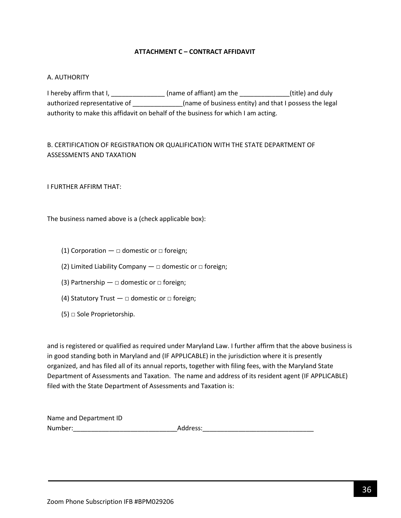### **ATTACHMENT C – CONTRACT AFFIDAVIT**

### <span id="page-35-0"></span>A. AUTHORITY

I hereby affirm that I, \_\_\_\_\_\_\_\_\_\_\_\_\_\_\_\_\_(name of affiant) am the \_\_\_\_\_\_\_\_\_\_\_\_\_\_(title) and duly authorized representative of \_\_\_\_\_\_\_\_\_\_\_\_\_\_\_\_(name of business entity) and that I possess the legal authority to make this affidavit on behalf of the business for which I am acting.

# B. CERTIFICATION OF REGISTRATION OR QUALIFICATION WITH THE STATE DEPARTMENT OF ASSESSMENTS AND TAXATION

I FURTHER AFFIRM THAT:

The business named above is a (check applicable box):

- (1) Corporation  $\Box$  domestic or  $\Box$  foreign;
- (2) Limited Liability Company  $-\Box$  domestic or  $\Box$  foreign;
- (3) Partnership  $\Box$  domestic or  $\Box$  foreign;
- (4) Statutory Trust  $-\Box$  domestic or  $\Box$  foreign;
- $(5)$   $\Box$  Sole Proprietorship.

and is registered or qualified as required under Maryland Law. I further affirm that the above business is in good standing both in Maryland and (IF APPLICABLE) in the jurisdiction where it is presently organized, and has filed all of its annual reports, together with filing fees, with the Maryland State Department of Assessments and Taxation. The name and address of its resident agent (IF APPLICABLE) filed with the State Department of Assessments and Taxation is:

| Name and Department ID |          |
|------------------------|----------|
| Number:                | Address: |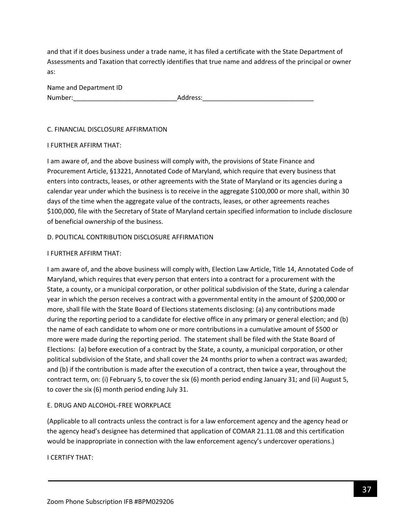and that if it does business under a trade name, it has filed a certificate with the State Department of Assessments and Taxation that correctly identifies that true name and address of the principal or owner as:

| Name and Department ID |          |
|------------------------|----------|
| Number:                | Address: |

### C. FINANCIAL DISCLOSURE AFFIRMATION

### I FURTHER AFFIRM THAT:

I am aware of, and the above business will comply with, the provisions of State Finance and Procurement Article, §13221, Annotated Code of Maryland, which require that every business that enters into contracts, leases, or other agreements with the State of Maryland or its agencies during a calendar year under which the business is to receive in the aggregate \$100,000 or more shall, within 30 days of the time when the aggregate value of the contracts, leases, or other agreements reaches \$100,000, file with the Secretary of State of Maryland certain specified information to include disclosure of beneficial ownership of the business.

## D. POLITICAL CONTRIBUTION DISCLOSURE AFFIRMATION

## I FURTHER AFFIRM THAT:

I am aware of, and the above business will comply with, Election Law Article, Title 14, Annotated Code of Maryland, which requires that every person that enters into a contract for a procurement with the State, a county, or a municipal corporation, or other political subdivision of the State, during a calendar year in which the person receives a contract with a governmental entity in the amount of \$200,000 or more, shall file with the State Board of Elections statements disclosing: (a) any contributions made during the reporting period to a candidate for elective office in any primary or general election; and (b) the name of each candidate to whom one or more contributions in a cumulative amount of \$500 or more were made during the reporting period. The statement shall be filed with the State Board of Elections: (a) before execution of a contract by the State, a county, a municipal corporation, or other political subdivision of the State, and shall cover the 24 months prior to when a contract was awarded; and (b) if the contribution is made after the execution of a contract, then twice a year, throughout the contract term, on: (i) February 5, to cover the six (6) month period ending January 31; and (ii) August 5, to cover the six (6) month period ending July 31.

# E. DRUG AND ALCOHOL-FREE WORKPLACE

(Applicable to all contracts unless the contract is for a law enforcement agency and the agency head or the agency head's designee has determined that application of COMAR 21.11.08 and this certification would be inappropriate in connection with the law enforcement agency's undercover operations.)

I CERTIFY THAT: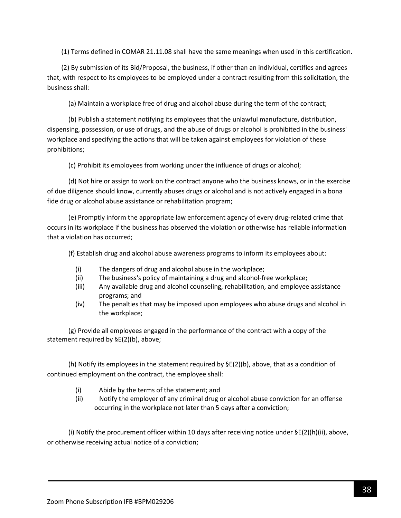(1) Terms defined in COMAR 21.11.08 shall have the same meanings when used in this certification.

(2) By submission of its Bid/Proposal, the business, if other than an individual, certifies and agrees that, with respect to its employees to be employed under a contract resulting from this solicitation, the business shall:

(a) Maintain a workplace free of drug and alcohol abuse during the term of the contract;

(b) Publish a statement notifying its employees that the unlawful manufacture, distribution, dispensing, possession, or use of drugs, and the abuse of drugs or alcohol is prohibited in the business' workplace and specifying the actions that will be taken against employees for violation of these prohibitions;

(c) Prohibit its employees from working under the influence of drugs or alcohol;

(d) Not hire or assign to work on the contract anyone who the business knows, or in the exercise of due diligence should know, currently abuses drugs or alcohol and is not actively engaged in a bona fide drug or alcohol abuse assistance or rehabilitation program;

(e) Promptly inform the appropriate law enforcement agency of every drug-related crime that occurs in its workplace if the business has observed the violation or otherwise has reliable information that a violation has occurred;

(f) Establish drug and alcohol abuse awareness programs to inform its employees about:

- (i) The dangers of drug and alcohol abuse in the workplace;
- (ii) The business's policy of maintaining a drug and alcohol-free workplace;
- (iii) Any available drug and alcohol counseling, rehabilitation, and employee assistance programs; and
- (iv) The penalties that may be imposed upon employees who abuse drugs and alcohol in the workplace;

(g) Provide all employees engaged in the performance of the contract with a copy of the statement required by §E(2)(b), above;

(h) Notify its employees in the statement required by  $\Sigma(2)(b)$ , above, that as a condition of continued employment on the contract, the employee shall:

- (i) Abide by the terms of the statement; and
- (ii) Notify the employer of any criminal drug or alcohol abuse conviction for an offense occurring in the workplace not later than 5 days after a conviction;

(i) Notify the procurement officer within 10 days after receiving notice under  $\Sigma(2)(h)(ii)$ , above, or otherwise receiving actual notice of a conviction;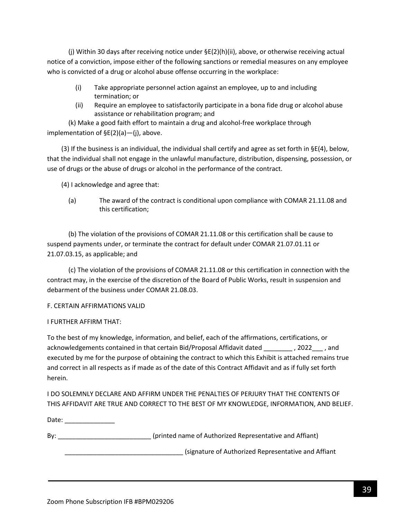(j) Within 30 days after receiving notice under §E(2)(h)(ii), above, or otherwise receiving actual notice of a conviction, impose either of the following sanctions or remedial measures on any employee who is convicted of a drug or alcohol abuse offense occurring in the workplace:

- (i) Take appropriate personnel action against an employee, up to and including termination; or
- (ii) Require an employee to satisfactorily participate in a bona fide drug or alcohol abuse assistance or rehabilitation program; and

(k) Make a good faith effort to maintain a drug and alcohol-free workplace through implementation of §E(2)(a)—(j), above.

(3) If the business is an individual, the individual shall certify and agree as set forth in  $\S E(4)$ , below, that the individual shall not engage in the unlawful manufacture, distribution, dispensing, possession, or use of drugs or the abuse of drugs or alcohol in the performance of the contract.

(4) I acknowledge and agree that:

(a) The award of the contract is conditional upon compliance with COMAR 21.11.08 and this certification;

(b) The violation of the provisions of COMAR 21.11.08 or this certification shall be cause to suspend payments under, or terminate the contract for default under COMAR 21.07.01.11 or 21.07.03.15, as applicable; and

(c) The violation of the provisions of COMAR 21.11.08 or this certification in connection with the contract may, in the exercise of the discretion of the Board of Public Works, result in suspension and debarment of the business under COMAR 21.08.03.

# F. CERTAIN AFFIRMATIONS VALID

# I FURTHER AFFIRM THAT:

To the best of my knowledge, information, and belief, each of the affirmations, certifications, or acknowledgements contained in that certain Bid/Proposal Affidavit dated \_\_\_\_\_\_\_\_ , 2022\_\_\_ , and executed by me for the purpose of obtaining the contract to which this Exhibit is attached remains true and correct in all respects as if made as of the date of this Contract Affidavit and as if fully set forth herein.

I DO SOLEMNLY DECLARE AND AFFIRM UNDER THE PENALTIES OF PERJURY THAT THE CONTENTS OF THIS AFFIDAVIT ARE TRUE AND CORRECT TO THE BEST OF MY KNOWLEDGE, INFORMATION, AND BELIEF.

Date: \_\_\_\_\_\_\_\_\_\_\_\_\_\_\_

By: example and the state of authorized Representative and Affiant)

\_\_\_\_\_\_\_\_\_\_\_\_\_\_\_\_\_\_\_\_\_\_\_\_\_\_\_\_\_\_\_\_\_ (signature of Authorized Representative and Affiant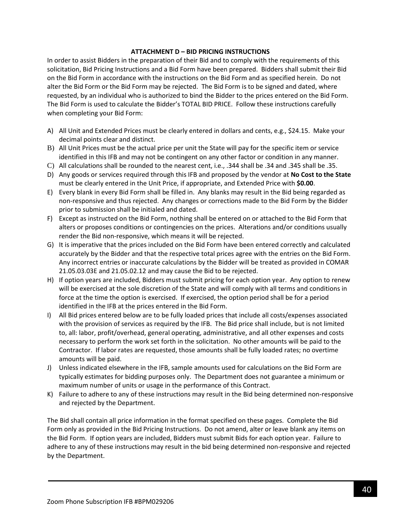### **ATTACHMENT D – BID PRICING INSTRUCTIONS**

In order to assist Bidders in the preparation of their Bid and to comply with the requirements of this solicitation, Bid Pricing Instructions and a Bid Form have been prepared. Bidders shall submit their Bid on the Bid Form in accordance with the instructions on the Bid Form and as specified herein. Do not alter the Bid Form or the Bid Form may be rejected. The Bid Form is to be signed and dated, where requested, by an individual who is authorized to bind the Bidder to the prices entered on the Bid Form. The Bid Form is used to calculate the Bidder's TOTAL BID PRICE. Follow these instructions carefully when completing your Bid Form:

- A) All Unit and Extended Prices must be clearly entered in dollars and cents, e.g., \$24.15. Make your decimal points clear and distinct.
- B) All Unit Prices must be the actual price per unit the State will pay for the specific item or service identified in this IFB and may not be contingent on any other factor or condition in any manner.
- C) All calculations shall be rounded to the nearest cent, i.e., .344 shall be .34 and .345 shall be .35.
- D) Any goods or services required through this IFB and proposed by the vendor at **No Cost to the State** must be clearly entered in the Unit Price, if appropriate, and Extended Price with **\$0.00**.
- E) Every blank in every Bid Form shall be filled in. Any blanks may result in the Bid being regarded as non-responsive and thus rejected. Any changes or corrections made to the Bid Form by the Bidder prior to submission shall be initialed and dated.
- F) Except as instructed on the Bid Form, nothing shall be entered on or attached to the Bid Form that alters or proposes conditions or contingencies on the prices. Alterations and/or conditions usually render the Bid non-responsive, which means it will be rejected.
- G) It is imperative that the prices included on the Bid Form have been entered correctly and calculated accurately by the Bidder and that the respective total prices agree with the entries on the Bid Form. Any incorrect entries or inaccurate calculations by the Bidder will be treated as provided in COMAR 21.05.03.03E and 21.05.02.12 and may cause the Bid to be rejected.
- H) If option years are included, Bidders must submit pricing for each option year. Any option to renew will be exercised at the sole discretion of the State and will comply with all terms and conditions in force at the time the option is exercised. If exercised, the option period shall be for a period identified in the IFB at the prices entered in the Bid Form.
- I) All Bid prices entered below are to be fully loaded prices that include all costs/expenses associated with the provision of services as required by the IFB. The Bid price shall include, but is not limited to, all: labor, profit/overhead, general operating, administrative, and all other expenses and costs necessary to perform the work set forth in the solicitation. No other amounts will be paid to the Contractor. If labor rates are requested, those amounts shall be fully loaded rates; no overtime amounts will be paid.
- J) Unless indicated elsewhere in the IFB, sample amounts used for calculations on the Bid Form are typically estimates for bidding purposes only. The Department does not guarantee a minimum or maximum number of units or usage in the performance of this Contract.
- K) Failure to adhere to any of these instructions may result in the Bid being determined non-responsive and rejected by the Department.

The Bid shall contain all price information in the format specified on these pages. Complete the Bid Form only as provided in the Bid Pricing Instructions. Do not amend, alter or leave blank any items on the Bid Form. If option years are included, Bidders must submit Bids for each option year. Failure to adhere to any of these instructions may result in the bid being determined non-responsive and rejected by the Department.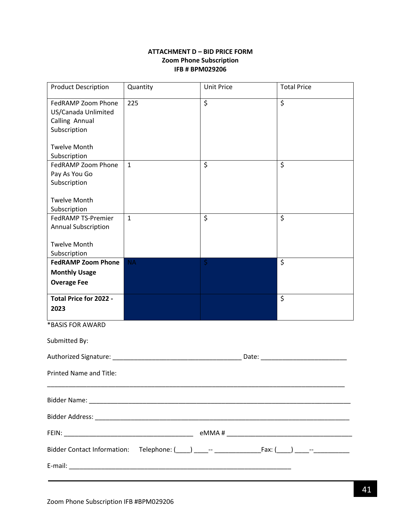# **ATTACHMENT D – BID PRICE FORM Zoom Phone Subscription IFB # BPM029206**

<span id="page-40-0"></span>

| <b>Product Description</b>                                                                                         | Quantity     | <b>Unit Price</b> | <b>Total Price</b> |  |
|--------------------------------------------------------------------------------------------------------------------|--------------|-------------------|--------------------|--|
| FedRAMP Zoom Phone<br>US/Canada Unlimited<br>Calling Annual<br>Subscription<br><b>Twelve Month</b><br>Subscription | 225          | \$                | \$                 |  |
| FedRAMP Zoom Phone<br>Pay As You Go<br>Subscription<br><b>Twelve Month</b>                                         | $\mathbf{1}$ | \$                | \$                 |  |
| Subscription                                                                                                       |              |                   |                    |  |
| FedRAMP TS-Premier<br><b>Annual Subscription</b><br><b>Twelve Month</b><br>Subscription                            | $\mathbf{1}$ | \$                | \$                 |  |
| <b>FedRAMP Zoom Phone</b>                                                                                          | <b>NA</b>    | S.                | \$                 |  |
| <b>Monthly Usage</b><br><b>Overage Fee</b>                                                                         |              |                   |                    |  |
|                                                                                                                    |              |                   |                    |  |
| Total Price for 2022 -<br>2023                                                                                     |              |                   | \$                 |  |
| *BASIS FOR AWARD                                                                                                   |              |                   |                    |  |
| Submitted By:                                                                                                      |              |                   |                    |  |
| Authorized Signature: Authorized Signature:                                                                        |              | Date:             |                    |  |
| <b>Printed Name and Title:</b>                                                                                     |              |                   |                    |  |
|                                                                                                                    |              |                   |                    |  |
|                                                                                                                    |              |                   |                    |  |
|                                                                                                                    |              |                   |                    |  |
|                                                                                                                    |              |                   |                    |  |
|                                                                                                                    |              |                   |                    |  |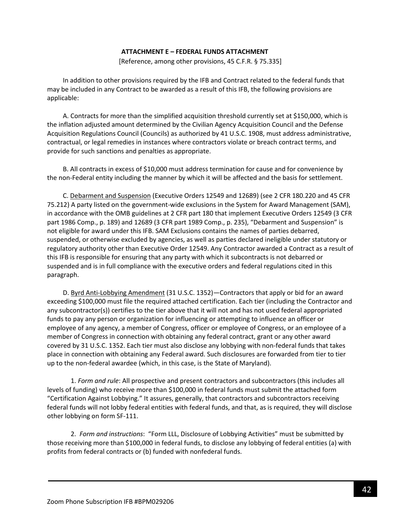#### **ATTACHMENT E – FEDERAL FUNDS ATTACHMENT**

[Reference, among other provisions, 45 C.F.R. § 75.335]

<span id="page-41-0"></span>In addition to other provisions required by the IFB and Contract related to the federal funds that may be included in any Contract to be awarded as a result of this IFB, the following provisions are applicable:

A. Contracts for more than the simplified acquisition threshold currently set at \$150,000, which is the inflation adjusted amount determined by the Civilian Agency Acquisition Council and the Defense Acquisition Regulations Council (Councils) as authorized by 41 U.S.C. 1908, must address administrative, contractual, or legal remedies in instances where contractors violate or breach contract terms, and provide for such sanctions and penalties as appropriate.

B. All contracts in excess of \$10,000 must address termination for cause and for convenience by the non-Federal entity including the manner by which it will be affected and the basis for settlement.

C. Debarment and Suspension (Executive Orders 12549 and 12689) (see 2 CFR 180.220 and 45 CFR 75.212) A party listed on the government-wide exclusions in the System for Award Management (SAM), in accordance with the OMB guidelines at 2 CFR part 180 that implement Executive Orders 12549 (3 CFR part 1986 Comp., p. 189) and 12689 (3 CFR part 1989 Comp., p. 235), "Debarment and Suspension" is not eligible for award under this IFB. SAM Exclusions contains the names of parties debarred, suspended, or otherwise excluded by agencies, as well as parties declared ineligible under statutory or regulatory authority other than Executive Order 12549. Any Contractor awarded a Contract as a result of this IFB is responsible for ensuring that any party with which it subcontracts is not debarred or suspended and is in full compliance with the executive orders and federal regulations cited in this paragraph.

D. Byrd Anti-Lobbying Amendment (31 U.S.C. 1352)—Contractors that apply or bid for an award exceeding \$100,000 must file the required attached certification. Each tier (including the Contractor and any subcontractor(s)) certifies to the tier above that it will not and has not used federal appropriated funds to pay any person or organization for influencing or attempting to influence an officer or employee of any agency, a member of Congress, officer or employee of Congress, or an employee of a member of Congress in connection with obtaining any federal contract, grant or any other award covered by 31 U.S.C. 1352. Each tier must also disclose any lobbying with non-federal funds that takes place in connection with obtaining any Federal award. Such disclosures are forwarded from tier to tier up to the non-federal awardee (which, in this case, is the State of Maryland).

1. *Form and rule*: All prospective and present contractors and subcontractors (this includes all levels of funding) who receive more than \$100,000 in federal funds must submit the attached form "Certification Against Lobbying." It assures, generally, that contractors and subcontractors receiving federal funds will not lobby federal entities with federal funds, and that, as is required, they will disclose other lobbying on form SF-111.

2. *Form and instructions*: "Form LLL, Disclosure of Lobbying Activities" must be submitted by those receiving more than \$100,000 in federal funds, to disclose any lobbying of federal entities (a) with profits from federal contracts or (b) funded with nonfederal funds.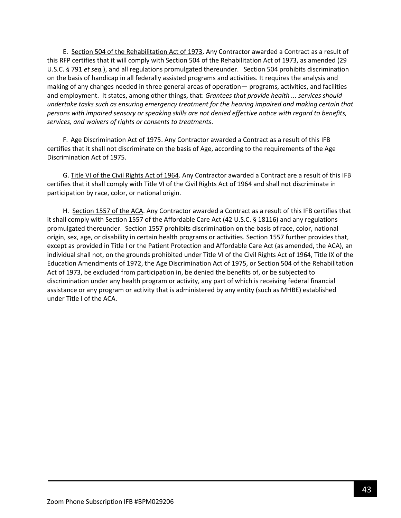E. Section 504 of the Rehabilitation Act of 1973. Any Contractor awarded a Contract as a result of this RFP certifies that it will comply with Section 504 of the Rehabilitation Act of 1973, as amended (29 U.S.C. § 791 *et seq.*), and all regulations promulgated thereunder. Section 504 prohibits discrimination on the basis of handicap in all federally assisted programs and activities. It requires the analysis and making of any changes needed in three general areas of operation— programs, activities, and facilities and employment. It states, among other things, that: *Grantees that provide health ... services should undertake tasks such as ensuring emergency treatment for the hearing impaired and making certain that persons with impaired sensory or speaking skills are not denied effective notice with regard to benefits, services, and waivers of rights or consents to treatments*.

F. Age Discrimination Act of 1975. Any Contractor awarded a Contract as a result of this IFB certifies that it shall not discriminate on the basis of Age, according to the requirements of the Age Discrimination Act of 1975.

G. Title VI of the Civil Rights Act of 1964. Any Contractor awarded a Contract are a result of this IFB certifies that it shall comply with Title VI of the Civil Rights Act of 1964 and shall not discriminate in participation by race, color, or national origin.

H. Section 1557 of the ACA. Any Contractor awarded a Contract as a result of this IFB certifies that it shall comply with Section 1557 of the Affordable Care Act (42 U.S.C. § 18116) and any regulations promulgated thereunder. Section 1557 prohibits discrimination on the basis of race, color, national origin, sex, age, or disability in certain health programs or activities. Section 1557 further provides that, except as provided in Title I or the Patient Protection and Affordable Care Act (as amended, the ACA), an individual shall not, on the grounds prohibited under Title VI of the Civil Rights Act of 1964, Title IX of the Education Amendments of 1972, the Age Discrimination Act of 1975, or Section 504 of the Rehabilitation Act of 1973, be excluded from participation in, be denied the benefits of, or be subjected to discrimination under any health program or activity, any part of which is receiving federal financial assistance or any program or activity that is administered by any entity (such as MHBE) established under Title I of the ACA.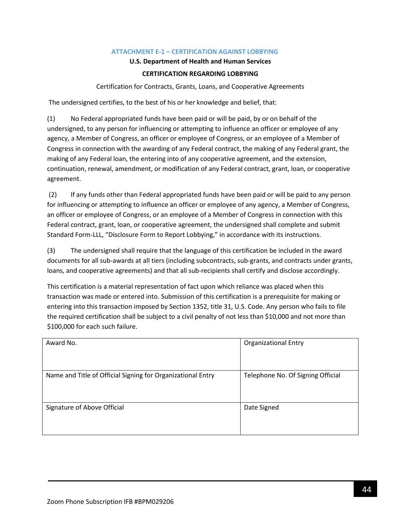## **ATTACHMENT E-1 – CERTIFICATION AGAINST LOBBYING**

### **U.S. Department of Health and Human Services**

# **CERTIFICATION REGARDING LOBBYING**

Certification for Contracts, Grants, Loans, and Cooperative Agreements

<span id="page-43-0"></span>The undersigned certifies, to the best of his or her knowledge and belief, that:

(1) No Federal appropriated funds have been paid or will be paid, by or on behalf of the undersigned, to any person for influencing or attempting to influence an officer or employee of any agency, a Member of Congress, an officer or employee of Congress, or an employee of a Member of Congress in connection with the awarding of any Federal contract, the making of any Federal grant, the making of any Federal loan, the entering into of any cooperative agreement, and the extension, continuation, renewal, amendment, or modification of any Federal contract, grant, loan, or cooperative agreement.

(2) If any funds other than Federal appropriated funds have been paid or will be paid to any person for influencing or attempting to influence an officer or employee of any agency, a Member of Congress, an officer or employee of Congress, or an employee of a Member of Congress in connection with this Federal contract, grant, loan, or cooperative agreement, the undersigned shall complete and submit Standard Form-LLL, "Disclosure Form to Report Lobbying," in accordance with its instructions.

(3) The undersigned shall require that the language of this certification be included in the award documents for all sub-awards at all tiers (including subcontracts, sub-grants, and contracts under grants, loans, and cooperative agreements) and that all sub-recipients shall certify and disclose accordingly.

This certification is a material representation of fact upon which reliance was placed when this transaction was made or entered into. Submission of this certification is a prerequisite for making or entering into this transaction imposed by Section 1352, title 31, U.S. Code. Any person who fails to file the required certification shall be subject to a civil penalty of not less than \$10,000 and not more than \$100,000 for each such failure.

| Award No.                                                   | <b>Organizational Entry</b>       |
|-------------------------------------------------------------|-----------------------------------|
| Name and Title of Official Signing for Organizational Entry | Telephone No. Of Signing Official |
| Signature of Above Official                                 | Date Signed                       |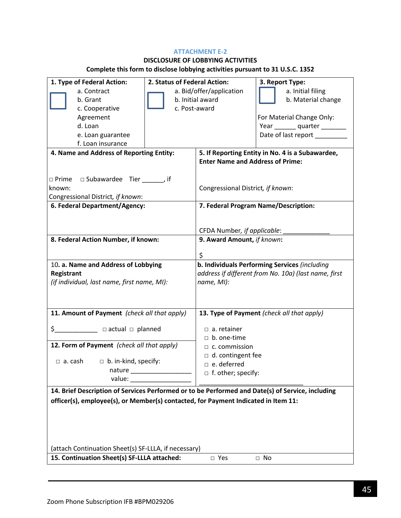## **ATTACHMENT E-2**

# **DISCLOSURE OF LOBBYING ACTIVITIES**

# **Complete this form to disclose lobbying activities pursuant to 31 U.S.C. 1352**

| 1. Type of Federal Action:                                                                       | 2. Status of Federal Action:                                                                                                                                                                                                   |                                                      | 3. Report Type:                            |  |
|--------------------------------------------------------------------------------------------------|--------------------------------------------------------------------------------------------------------------------------------------------------------------------------------------------------------------------------------|------------------------------------------------------|--------------------------------------------|--|
| a. Contract                                                                                      |                                                                                                                                                                                                                                | a. Bid/offer/application                             | a. Initial filing                          |  |
| b. Grant                                                                                         |                                                                                                                                                                                                                                | b. Initial award                                     | b. Material change                         |  |
| c. Cooperative                                                                                   | c. Post-award                                                                                                                                                                                                                  |                                                      |                                            |  |
| Agreement                                                                                        |                                                                                                                                                                                                                                |                                                      | For Material Change Only:                  |  |
| d. Loan                                                                                          |                                                                                                                                                                                                                                |                                                      | Year ________ quarter ________             |  |
| e. Loan guarantee                                                                                |                                                                                                                                                                                                                                |                                                      | Date of last report ________               |  |
| f. Loan insurance                                                                                |                                                                                                                                                                                                                                |                                                      |                                            |  |
| 4. Name and Address of Reporting Entity:                                                         |                                                                                                                                                                                                                                | 5. If Reporting Entity in No. 4 is a Subawardee,     |                                            |  |
|                                                                                                  |                                                                                                                                                                                                                                | <b>Enter Name and Address of Prime:</b>              |                                            |  |
|                                                                                                  |                                                                                                                                                                                                                                |                                                      |                                            |  |
| $\Box$ Prime $\Box$ Subawardee Tier ______, if                                                   |                                                                                                                                                                                                                                |                                                      |                                            |  |
| known:                                                                                           |                                                                                                                                                                                                                                |                                                      | Congressional District, if known:          |  |
| Congressional District, if known:                                                                |                                                                                                                                                                                                                                |                                                      |                                            |  |
| 6. Federal Department/Agency:                                                                    |                                                                                                                                                                                                                                |                                                      | 7. Federal Program Name/Description:       |  |
|                                                                                                  |                                                                                                                                                                                                                                |                                                      |                                            |  |
|                                                                                                  |                                                                                                                                                                                                                                |                                                      |                                            |  |
|                                                                                                  |                                                                                                                                                                                                                                | CFDA Number, if applicable:                          |                                            |  |
| 8. Federal Action Number, if known:                                                              |                                                                                                                                                                                                                                | 9. Award Amount, if known:                           |                                            |  |
|                                                                                                  |                                                                                                                                                                                                                                | \$                                                   |                                            |  |
| 10. a. Name and Address of Lobbying                                                              |                                                                                                                                                                                                                                | b. Individuals Performing Services (including        |                                            |  |
| Registrant                                                                                       |                                                                                                                                                                                                                                | address if different from No. 10a) (last name, first |                                            |  |
|                                                                                                  |                                                                                                                                                                                                                                | name, MI):                                           |                                            |  |
| (if individual, last name, first name, MI):                                                      |                                                                                                                                                                                                                                |                                                      |                                            |  |
|                                                                                                  |                                                                                                                                                                                                                                |                                                      |                                            |  |
|                                                                                                  |                                                                                                                                                                                                                                |                                                      |                                            |  |
| 11. Amount of Payment (check all that apply)                                                     |                                                                                                                                                                                                                                |                                                      | 13. Type of Payment (check all that apply) |  |
|                                                                                                  |                                                                                                                                                                                                                                | $\Box$ a. retainer                                   |                                            |  |
|                                                                                                  |                                                                                                                                                                                                                                | $\Box$ b. one-time                                   |                                            |  |
| 12. Form of Payment (check all that apply)                                                       |                                                                                                                                                                                                                                | $\Box$ c. commission                                 |                                            |  |
|                                                                                                  |                                                                                                                                                                                                                                | $\Box$ d. contingent fee                             |                                            |  |
| $\Box$ a. cash                                                                                   | □ b. in-kind, specify:                                                                                                                                                                                                         |                                                      | $\Box$ e. deferred                         |  |
| nature                                                                                           | $\Box$ f. other; specify:                                                                                                                                                                                                      |                                                      |                                            |  |
|                                                                                                  | value: and the state of the state of the state of the state of the state of the state of the state of the state of the state of the state of the state of the state of the state of the state of the state of the state of the |                                                      |                                            |  |
| 14. Brief Description of Services Performed or to be Performed and Date(s) of Service, including |                                                                                                                                                                                                                                |                                                      |                                            |  |
| officer(s), employee(s), or Member(s) contacted, for Payment Indicated in Item 11:               |                                                                                                                                                                                                                                |                                                      |                                            |  |
|                                                                                                  |                                                                                                                                                                                                                                |                                                      |                                            |  |
|                                                                                                  |                                                                                                                                                                                                                                |                                                      |                                            |  |
|                                                                                                  |                                                                                                                                                                                                                                |                                                      |                                            |  |
|                                                                                                  |                                                                                                                                                                                                                                |                                                      |                                            |  |
|                                                                                                  |                                                                                                                                                                                                                                |                                                      |                                            |  |
| (attach Continuation Sheet(s) SF-LLLA, if necessary)                                             |                                                                                                                                                                                                                                |                                                      |                                            |  |
| 15. Continuation Sheet(s) SF-LLLA attached:                                                      |                                                                                                                                                                                                                                | □ Yes                                                | $\Box$ No                                  |  |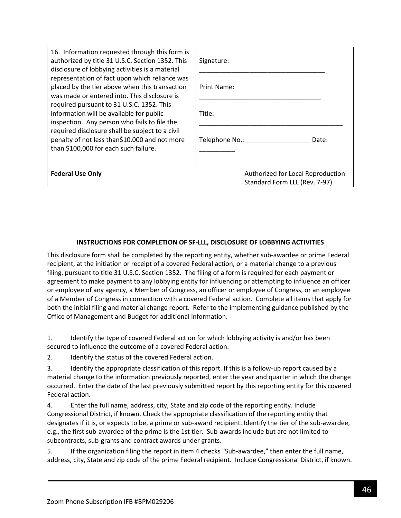| 16. Information requested through this form is<br>authorized by title 31 U.S.C. Section 1352. This<br>disclosure of lobbying activities is a material<br>representation of fact upon which reliance was<br>placed by the tier above when this transaction<br>was made or entered into. This disclosure is<br>required pursuant to 31 U.S.C. 1352. This<br>information will be available for public<br>inspection. Any person who fails to file the<br>required disclosure shall be subject to a civil<br>penalty of not less than\$10,000 and not more<br>than \$100,000 for each such failure. | Signature:                                                         |
|-------------------------------------------------------------------------------------------------------------------------------------------------------------------------------------------------------------------------------------------------------------------------------------------------------------------------------------------------------------------------------------------------------------------------------------------------------------------------------------------------------------------------------------------------------------------------------------------------|--------------------------------------------------------------------|
|                                                                                                                                                                                                                                                                                                                                                                                                                                                                                                                                                                                                 | Print Name:                                                        |
|                                                                                                                                                                                                                                                                                                                                                                                                                                                                                                                                                                                                 | Title:                                                             |
|                                                                                                                                                                                                                                                                                                                                                                                                                                                                                                                                                                                                 | Telephone No.:<br>Date:                                            |
| <b>Federal Use Only</b>                                                                                                                                                                                                                                                                                                                                                                                                                                                                                                                                                                         | Authorized for Local Reproduction<br>Standard Form LLL (Rev. 7-97) |

## **INSTRUCTIONS FOR COMPLETION OF SF-LLL, DISCLOSURE OF LOBBYING ACTIVITIES**

This disclosure form shall be completed by the reporting entity, whether sub-awardee or prime Federal recipient, at the initiation or receipt of a covered Federal action, or a material change to a previous filing, pursuant to title 31 U.S.C. Section 1352. The filing of a form is required for each payment or agreement to make payment to any lobbying entity for influencing or attempting to influence an officer or employee of any agency, a Member of Congress, an officer or employee of Congress, or an employee of a Member of Congress in connection with a covered Federal action. Complete all items that apply for both the initial filing and material change report. Refer to the implementing guidance published by the Office of Management and Budget for additional information.

1. Identify the type of covered Federal action for which lobbying activity is and/or has been secured to influence the outcome of a covered Federal action.

2. Identify the status of the covered Federal action.

3. Identify the appropriate classification of this report. If this is a follow-up report caused by a material change to the information previously reported, enter the year and quarter in which the change occurred. Enter the date of the last previously submitted report by this reporting entity for this covered Federal action.

4. Enter the full name, address, city, State and zip code of the reporting entity. Include Congressional District, if known. Check the appropriate classification of the reporting entity that designates if it is, or expects to be, a prime or sub-award recipient. Identify the tier of the sub-awardee, e.g., the first sub-awardee of the prime is the 1st tier. Sub-awards include but are not limited to subcontracts, sub-grants and contract awards under grants.

5. If the organization filing the report in item 4 checks "Sub-awardee," then enter the full name, address, city, State and zip code of the prime Federal recipient. Include Congressional District, if known.